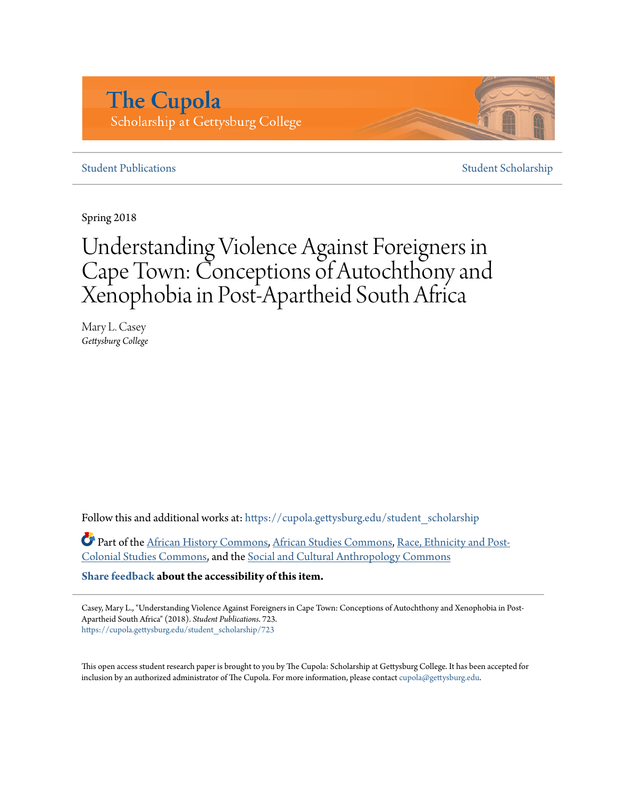# **The Cupola** Scholarship at Gettysburg College

# **[Student Publications](https://cupola.gettysburg.edu/student_scholarship?utm_source=cupola.gettysburg.edu%2Fstudent_scholarship%2F723&utm_medium=PDF&utm_campaign=PDFCoverPages)** [Student Scholarship](https://cupola.gettysburg.edu/student?utm_source=cupola.gettysburg.edu%2Fstudent_scholarship%2F723&utm_medium=PDF&utm_campaign=PDFCoverPages)

Spring 2018

# Understanding Violence Against Foreigners in Cape Town: Conceptions of Autochthony and Xenophobia in Post-Apartheid South Africa

Mary L. Casey *Gettysburg College*

Follow this and additional works at: [https://cupola.gettysburg.edu/student\\_scholarship](https://cupola.gettysburg.edu/student_scholarship?utm_source=cupola.gettysburg.edu%2Fstudent_scholarship%2F723&utm_medium=PDF&utm_campaign=PDFCoverPages)

Part of the [African History Commons,](http://network.bepress.com/hgg/discipline/490?utm_source=cupola.gettysburg.edu%2Fstudent_scholarship%2F723&utm_medium=PDF&utm_campaign=PDFCoverPages) [African Studies Commons](http://network.bepress.com/hgg/discipline/1043?utm_source=cupola.gettysburg.edu%2Fstudent_scholarship%2F723&utm_medium=PDF&utm_campaign=PDFCoverPages), [Race, Ethnicity and Post-](http://network.bepress.com/hgg/discipline/566?utm_source=cupola.gettysburg.edu%2Fstudent_scholarship%2F723&utm_medium=PDF&utm_campaign=PDFCoverPages)[Colonial Studies Commons](http://network.bepress.com/hgg/discipline/566?utm_source=cupola.gettysburg.edu%2Fstudent_scholarship%2F723&utm_medium=PDF&utm_campaign=PDFCoverPages), and the [Social and Cultural Anthropology Commons](http://network.bepress.com/hgg/discipline/323?utm_source=cupola.gettysburg.edu%2Fstudent_scholarship%2F723&utm_medium=PDF&utm_campaign=PDFCoverPages)

**[Share feedback](https://docs.google.com/a/bepress.com/forms/d/1h9eEcpBPj5POs5oO6Y5A0blXRmZqykoonyYiZUNyEq8/viewform) about the accessibility of this item.**

Casey, Mary L., "Understanding Violence Against Foreigners in Cape Town: Conceptions of Autochthony and Xenophobia in Post-Apartheid South Africa" (2018). *Student Publications*. 723. [https://cupola.gettysburg.edu/student\\_scholarship/723](https://cupola.gettysburg.edu/student_scholarship/723?utm_source=cupola.gettysburg.edu%2Fstudent_scholarship%2F723&utm_medium=PDF&utm_campaign=PDFCoverPages)

This open access student research paper is brought to you by The Cupola: Scholarship at Gettysburg College. It has been accepted for inclusion by an authorized administrator of The Cupola. For more information, please contact [cupola@gettysburg.edu.](mailto:cupola@gettysburg.edu)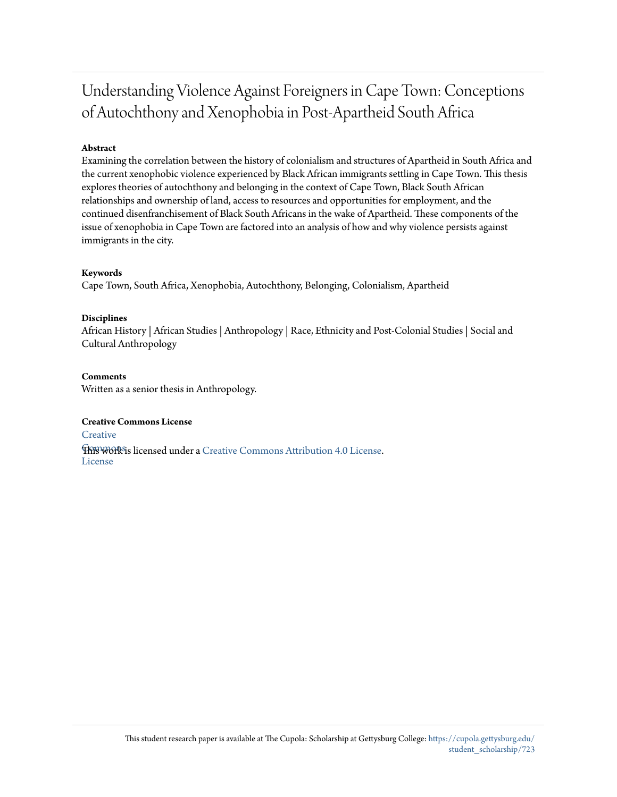# Understanding Violence Against Foreigners in Cape Town: Conceptions of Autochthony and Xenophobia in Post-Apartheid South Africa

# **Abstract**

Examining the correlation between the history of colonialism and structures of Apartheid in South Africa and the current xenophobic violence experienced by Black African immigrants settling in Cape Town. This thesis explores theories of autochthony and belonging in the context of Cape Town, Black South African relationships and ownership of land, access to resources and opportunities for employment, and the continued disenfranchisement of Black South Africans in the wake of Apartheid. These components of the issue of xenophobia in Cape Town are factored into an analysis of how and why violence persists against immigrants in the city.

# **Keywords**

Cape Town, South Africa, Xenophobia, Autochthony, Belonging, Colonialism, Apartheid

### **Disciplines**

African History | African Studies | Anthropology | Race, Ethnicity and Post-Colonial Studies | Social and Cultural Anthropology

# **Comments**

Written as a senior thesis in Anthropology.

### **Creative Commons License**

**[Creative](https://creativecommons.org/licenses/by/4.0/)** 

**This work is licensed under a** [Creative Commons Attribution 4.0 License.](https://creativecommons.org/licenses/by/4.0/) License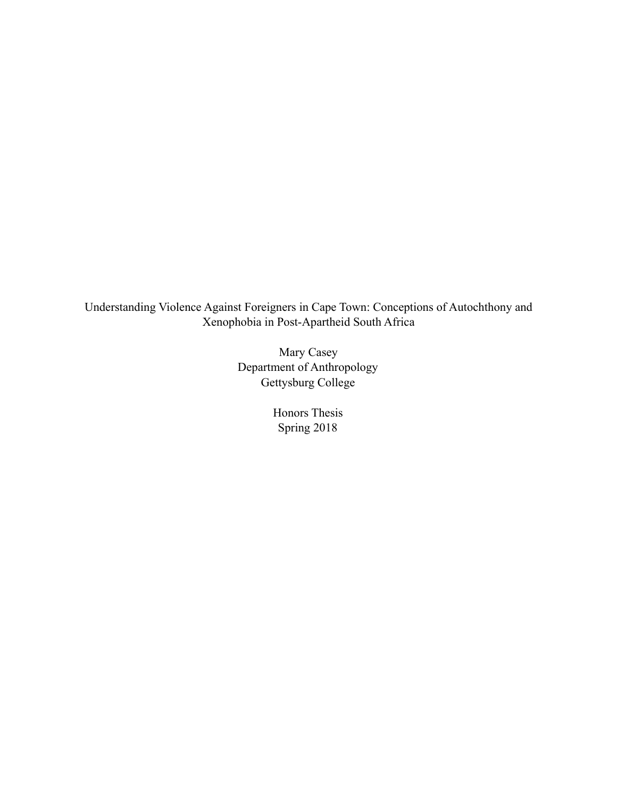Understanding Violence Against Foreigners in Cape Town: Conceptions of Autochthony and Xenophobia in Post-Apartheid South Africa

> Mary Casey Department of Anthropology Gettysburg College

> > Honors Thesis Spring 2018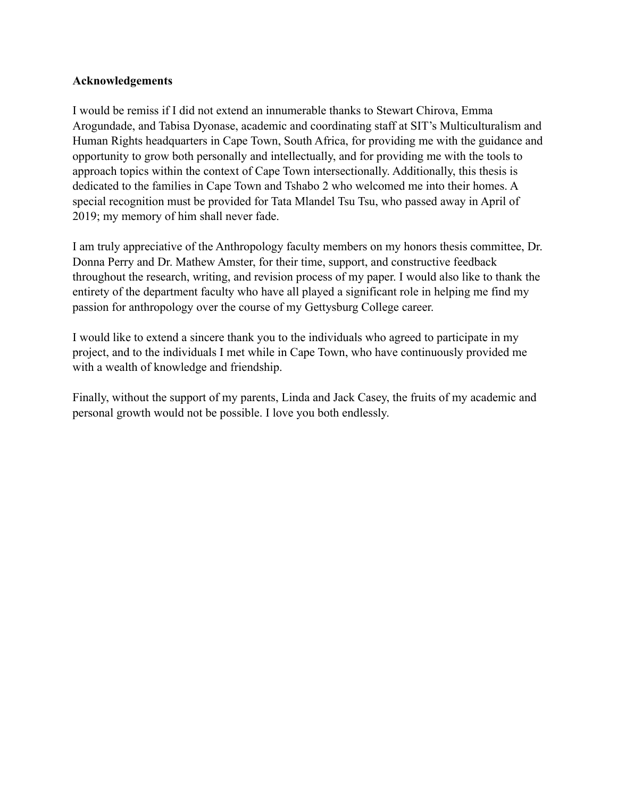# **Acknowledgements**

I would be remiss if I did not extend an innumerable thanks to Stewart Chirova, Emma Arogundade, and Tabisa Dyonase, academic and coordinating staff at SIT's Multiculturalism and Human Rights headquarters in Cape Town, South Africa, for providing me with the guidance and opportunity to grow both personally and intellectually, and for providing me with the tools to approach topics within the context of Cape Town intersectionally. Additionally, this thesis is dedicated to the families in Cape Town and Tshabo 2 who welcomed me into their homes. A special recognition must be provided for Tata Mlandel Tsu Tsu, who passed away in April of 2019; my memory of him shall never fade.

I am truly appreciative of the Anthropology faculty members on my honors thesis committee, Dr. Donna Perry and Dr. Mathew Amster, for their time, support, and constructive feedback throughout the research, writing, and revision process of my paper. I would also like to thank the entirety of the department faculty who have all played a significant role in helping me find my passion for anthropology over the course of my Gettysburg College career.

I would like to extend a sincere thank you to the individuals who agreed to participate in my project, and to the individuals I met while in Cape Town, who have continuously provided me with a wealth of knowledge and friendship.

Finally, without the support of my parents, Linda and Jack Casey, the fruits of my academic and personal growth would not be possible. I love you both endlessly.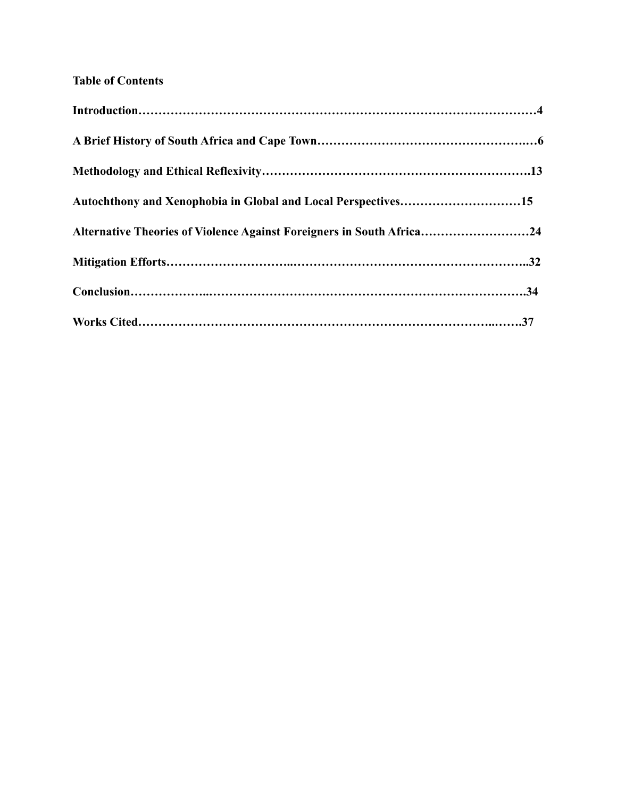# **Table of Contents**

| Autochthony and Xenophobia in Global and Local Perspectives15         |  |
|-----------------------------------------------------------------------|--|
| Alternative Theories of Violence Against Foreigners in South Africa24 |  |
|                                                                       |  |
|                                                                       |  |
|                                                                       |  |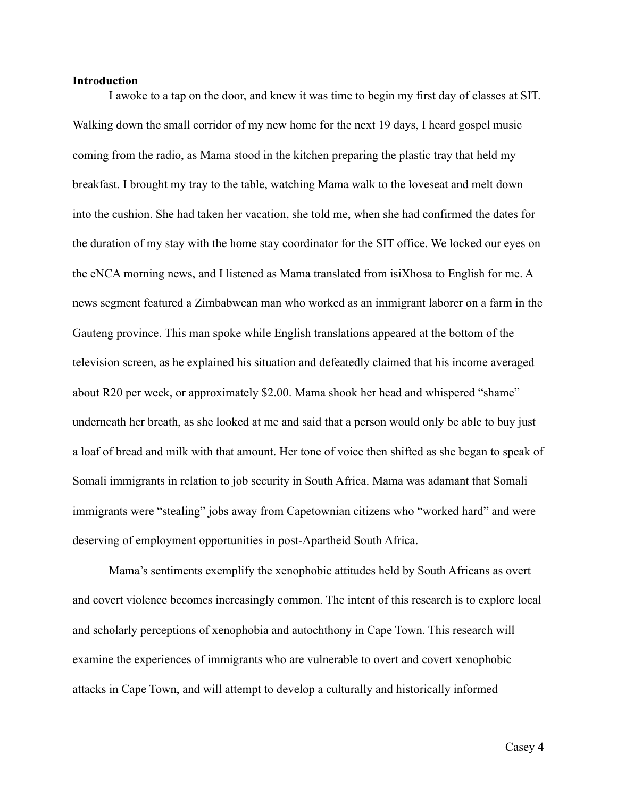# **Introduction**

 I awoke to a tap on the door, and knew it was time to begin my first day of classes at SIT. Walking down the small corridor of my new home for the next 19 days, I heard gospel music coming from the radio, as Mama stood in the kitchen preparing the plastic tray that held my breakfast. I brought my tray to the table, watching Mama walk to the loveseat and melt down into the cushion. She had taken her vacation, she told me, when she had confirmed the dates for the duration of my stay with the home stay coordinator for the SIT office. We locked our eyes on the eNCA morning news, and I listened as Mama translated from isiXhosa to English for me. A news segment featured a Zimbabwean man who worked as an immigrant laborer on a farm in the Gauteng province. This man spoke while English translations appeared at the bottom of the television screen, as he explained his situation and defeatedly claimed that his income averaged about R20 per week, or approximately \$2.00. Mama shook her head and whispered "shame" underneath her breath, as she looked at me and said that a person would only be able to buy just a loaf of bread and milk with that amount. Her tone of voice then shifted as she began to speak of Somali immigrants in relation to job security in South Africa. Mama was adamant that Somali immigrants were "stealing" jobs away from Capetownian citizens who "worked hard" and were deserving of employment opportunities in post-Apartheid South Africa.

 Mama's sentiments exemplify the xenophobic attitudes held by South Africans as overt and covert violence becomes increasingly common. The intent of this research is to explore local and scholarly perceptions of xenophobia and autochthony in Cape Town. This research will examine the experiences of immigrants who are vulnerable to overt and covert xenophobic attacks in Cape Town, and will attempt to develop a culturally and historically informed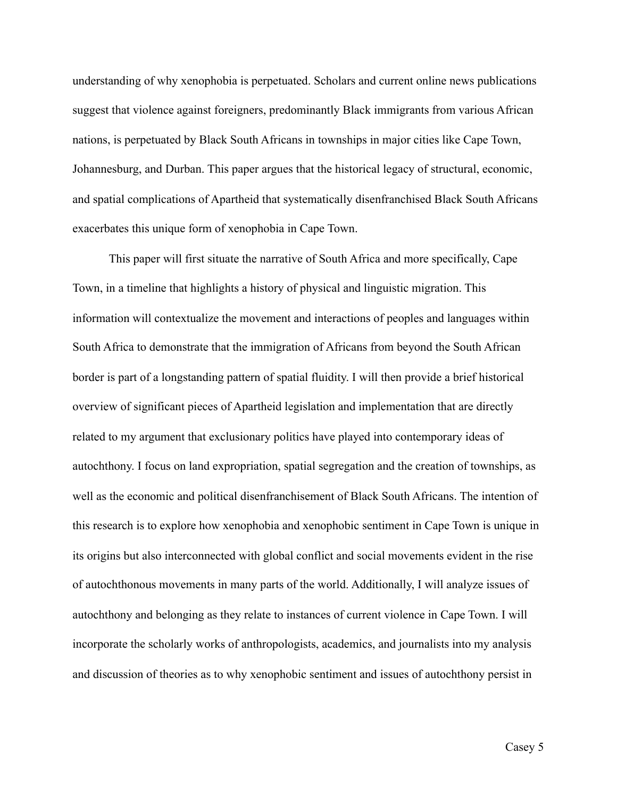understanding of why xenophobia is perpetuated. Scholars and current online news publications suggest that violence against foreigners, predominantly Black immigrants from various African nations, is perpetuated by Black South Africans in townships in major cities like Cape Town, Johannesburg, and Durban. This paper argues that the historical legacy of structural, economic, and spatial complications of Apartheid that systematically disenfranchised Black South Africans exacerbates this unique form of xenophobia in Cape Town.

 This paper will first situate the narrative of South Africa and more specifically, Cape Town, in a timeline that highlights a history of physical and linguistic migration. This information will contextualize the movement and interactions of peoples and languages within South Africa to demonstrate that the immigration of Africans from beyond the South African border is part of a longstanding pattern of spatial fluidity. I will then provide a brief historical overview of significant pieces of Apartheid legislation and implementation that are directly related to my argument that exclusionary politics have played into contemporary ideas of autochthony. I focus on land expropriation, spatial segregation and the creation of townships, as well as the economic and political disenfranchisement of Black South Africans. The intention of this research is to explore how xenophobia and xenophobic sentiment in Cape Town is unique in its origins but also interconnected with global conflict and social movements evident in the rise of autochthonous movements in many parts of the world. Additionally, I will analyze issues of autochthony and belonging as they relate to instances of current violence in Cape Town. I will incorporate the scholarly works of anthropologists, academics, and journalists into my analysis and discussion of theories as to why xenophobic sentiment and issues of autochthony persist in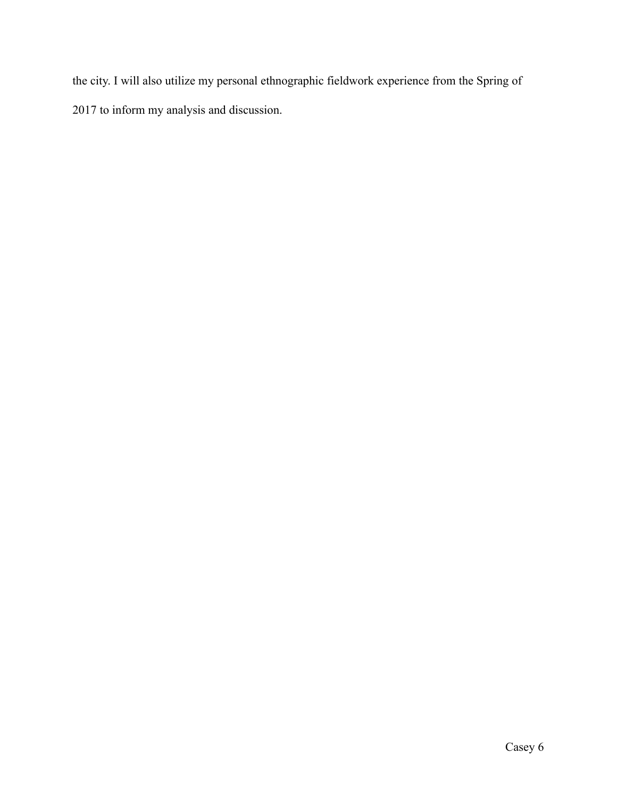the city. I will also utilize my personal ethnographic fieldwork experience from the Spring of 2017 to inform my analysis and discussion.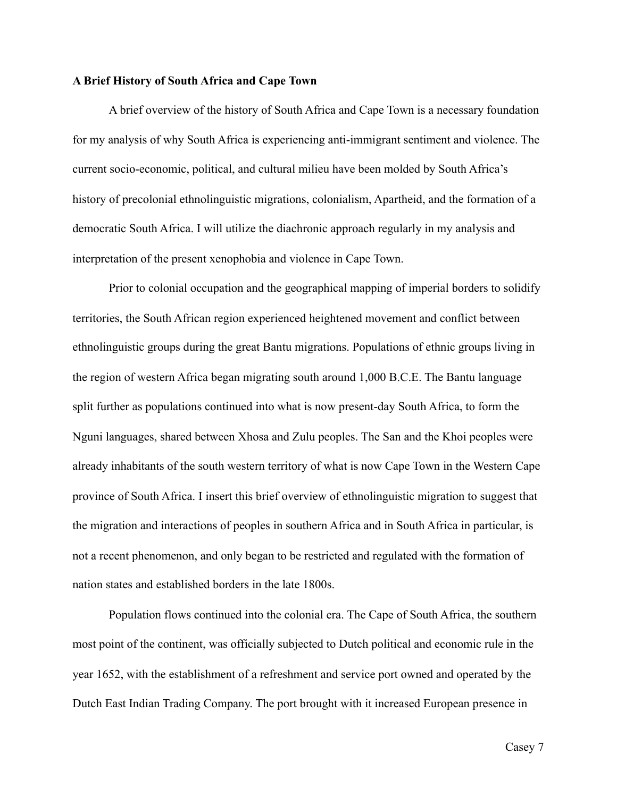# **A Brief History of South Africa and Cape Town**

 A brief overview of the history of South Africa and Cape Town is a necessary foundation for my analysis of why South Africa is experiencing anti-immigrant sentiment and violence. The current socio-economic, political, and cultural milieu have been molded by South Africa's history of precolonial ethnolinguistic migrations, colonialism, Apartheid, and the formation of a democratic South Africa. I will utilize the diachronic approach regularly in my analysis and interpretation of the present xenophobia and violence in Cape Town.

 Prior to colonial occupation and the geographical mapping of imperial borders to solidify territories, the South African region experienced heightened movement and conflict between ethnolinguistic groups during the great Bantu migrations. Populations of ethnic groups living in the region of western Africa began migrating south around 1,000 B.C.E. The Bantu language split further as populations continued into what is now present-day South Africa, to form the Nguni languages, shared between Xhosa and Zulu peoples. The San and the Khoi peoples were already inhabitants of the south western territory of what is now Cape Town in the Western Cape province of South Africa. I insert this brief overview of ethnolinguistic migration to suggest that the migration and interactions of peoples in southern Africa and in South Africa in particular, is not a recent phenomenon, and only began to be restricted and regulated with the formation of nation states and established borders in the late 1800s.

 Population flows continued into the colonial era. The Cape of South Africa, the southern most point of the continent, was officially subjected to Dutch political and economic rule in the year 1652, with the establishment of a refreshment and service port owned and operated by the Dutch East Indian Trading Company. The port brought with it increased European presence in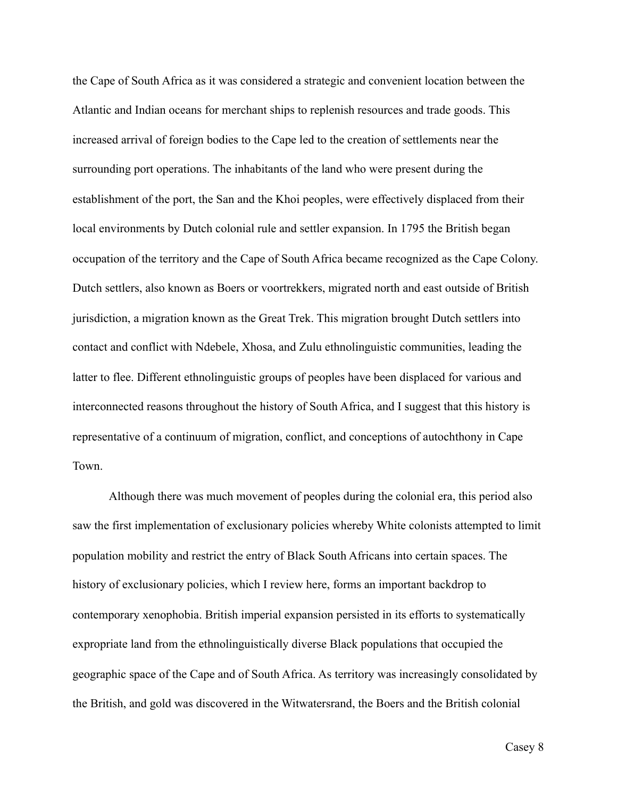the Cape of South Africa as it was considered a strategic and convenient location between the Atlantic and Indian oceans for merchant ships to replenish resources and trade goods. This increased arrival of foreign bodies to the Cape led to the creation of settlements near the surrounding port operations. The inhabitants of the land who were present during the establishment of the port, the San and the Khoi peoples, were effectively displaced from their local environments by Dutch colonial rule and settler expansion. In 1795 the British began occupation of the territory and the Cape of South Africa became recognized as the Cape Colony. Dutch settlers, also known as Boers or voortrekkers, migrated north and east outside of British jurisdiction, a migration known as the Great Trek. This migration brought Dutch settlers into contact and conflict with Ndebele, Xhosa, and Zulu ethnolinguistic communities, leading the latter to flee. Different ethnolinguistic groups of peoples have been displaced for various and interconnected reasons throughout the history of South Africa, and I suggest that this history is representative of a continuum of migration, conflict, and conceptions of autochthony in Cape Town.

 Although there was much movement of peoples during the colonial era, this period also saw the first implementation of exclusionary policies whereby White colonists attempted to limit population mobility and restrict the entry of Black South Africans into certain spaces. The history of exclusionary policies, which I review here, forms an important backdrop to contemporary xenophobia. British imperial expansion persisted in its efforts to systematically expropriate land from the ethnolinguistically diverse Black populations that occupied the geographic space of the Cape and of South Africa. As territory was increasingly consolidated by the British, and gold was discovered in the Witwatersrand, the Boers and the British colonial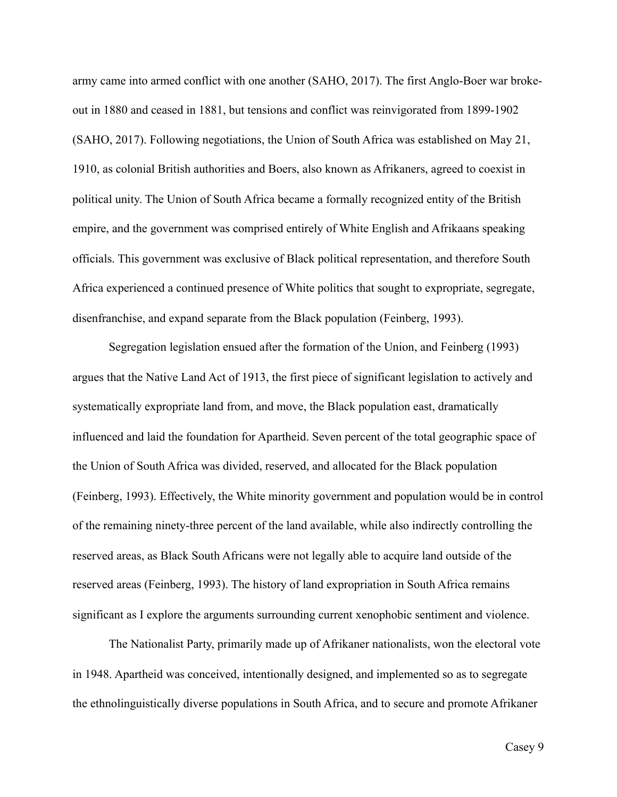army came into armed conflict with one another (SAHO, 2017). The first Anglo-Boer war brokeout in 1880 and ceased in 1881, but tensions and conflict was reinvigorated from 1899-1902 (SAHO, 2017). Following negotiations, the Union of South Africa was established on May 21, 1910, as colonial British authorities and Boers, also known as Afrikaners, agreed to coexist in political unity. The Union of South Africa became a formally recognized entity of the British empire, and the government was comprised entirely of White English and Afrikaans speaking officials. This government was exclusive of Black political representation, and therefore South Africa experienced a continued presence of White politics that sought to expropriate, segregate, disenfranchise, and expand separate from the Black population (Feinberg, 1993).

 Segregation legislation ensued after the formation of the Union, and Feinberg (1993) argues that the Native Land Act of 1913, the first piece of significant legislation to actively and systematically expropriate land from, and move, the Black population east, dramatically influenced and laid the foundation for Apartheid. Seven percent of the total geographic space of the Union of South Africa was divided, reserved, and allocated for the Black population (Feinberg, 1993). Effectively, the White minority government and population would be in control of the remaining ninety-three percent of the land available, while also indirectly controlling the reserved areas, as Black South Africans were not legally able to acquire land outside of the reserved areas (Feinberg, 1993). The history of land expropriation in South Africa remains significant as I explore the arguments surrounding current xenophobic sentiment and violence.

The Nationalist Party, primarily made up of Afrikaner nationalists, won the electoral vote in 1948. Apartheid was conceived, intentionally designed, and implemented so as to segregate the ethnolinguistically diverse populations in South Africa, and to secure and promote Afrikaner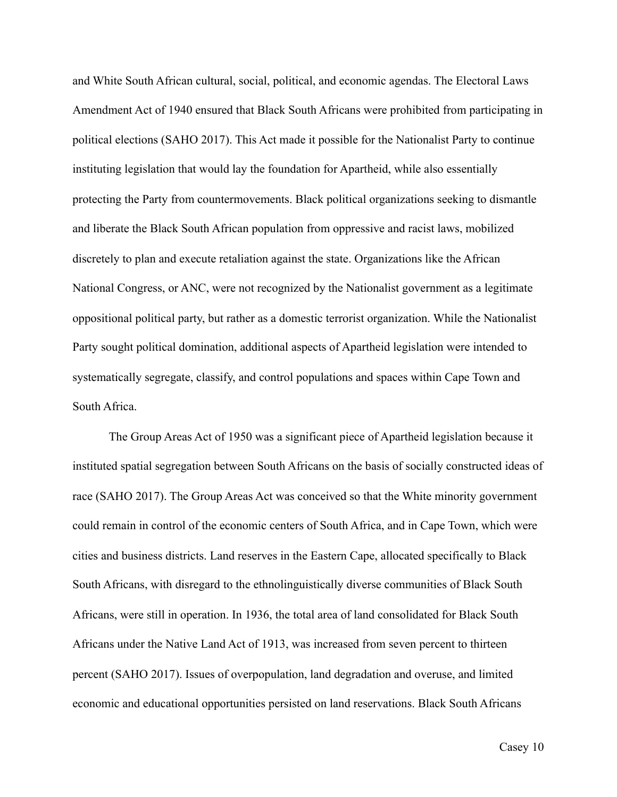and White South African cultural, social, political, and economic agendas. The Electoral Laws Amendment Act of 1940 ensured that Black South Africans were prohibited from participating in political elections (SAHO 2017). This Act made it possible for the Nationalist Party to continue instituting legislation that would lay the foundation for Apartheid, while also essentially protecting the Party from countermovements. Black political organizations seeking to dismantle and liberate the Black South African population from oppressive and racist laws, mobilized discretely to plan and execute retaliation against the state. Organizations like the African National Congress, or ANC, were not recognized by the Nationalist government as a legitimate oppositional political party, but rather as a domestic terrorist organization. While the Nationalist Party sought political domination, additional aspects of Apartheid legislation were intended to systematically segregate, classify, and control populations and spaces within Cape Town and South Africa.

 The Group Areas Act of 1950 was a significant piece of Apartheid legislation because it instituted spatial segregation between South Africans on the basis of socially constructed ideas of race (SAHO 2017). The Group Areas Act was conceived so that the White minority government could remain in control of the economic centers of South Africa, and in Cape Town, which were cities and business districts. Land reserves in the Eastern Cape, allocated specifically to Black South Africans, with disregard to the ethnolinguistically diverse communities of Black South Africans, were still in operation. In 1936, the total area of land consolidated for Black South Africans under the Native Land Act of 1913, was increased from seven percent to thirteen percent (SAHO 2017). Issues of overpopulation, land degradation and overuse, and limited economic and educational opportunities persisted on land reservations. Black South Africans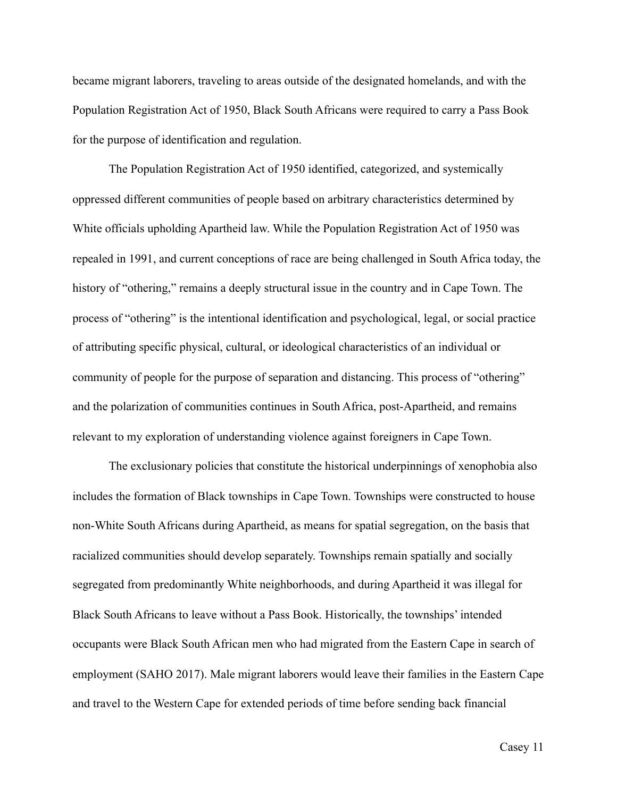became migrant laborers, traveling to areas outside of the designated homelands, and with the Population Registration Act of 1950, Black South Africans were required to carry a Pass Book for the purpose of identification and regulation.

 The Population Registration Act of 1950 identified, categorized, and systemically oppressed different communities of people based on arbitrary characteristics determined by White officials upholding Apartheid law. While the Population Registration Act of 1950 was repealed in 1991, and current conceptions of race are being challenged in South Africa today, the history of "othering," remains a deeply structural issue in the country and in Cape Town. The process of "othering" is the intentional identification and psychological, legal, or social practice of attributing specific physical, cultural, or ideological characteristics of an individual or community of people for the purpose of separation and distancing. This process of "othering" and the polarization of communities continues in South Africa, post-Apartheid, and remains relevant to my exploration of understanding violence against foreigners in Cape Town.

 The exclusionary policies that constitute the historical underpinnings of xenophobia also includes the formation of Black townships in Cape Town. Townships were constructed to house non-White South Africans during Apartheid, as means for spatial segregation, on the basis that racialized communities should develop separately. Townships remain spatially and socially segregated from predominantly White neighborhoods, and during Apartheid it was illegal for Black South Africans to leave without a Pass Book. Historically, the townships' intended occupants were Black South African men who had migrated from the Eastern Cape in search of employment (SAHO 2017). Male migrant laborers would leave their families in the Eastern Cape and travel to the Western Cape for extended periods of time before sending back financial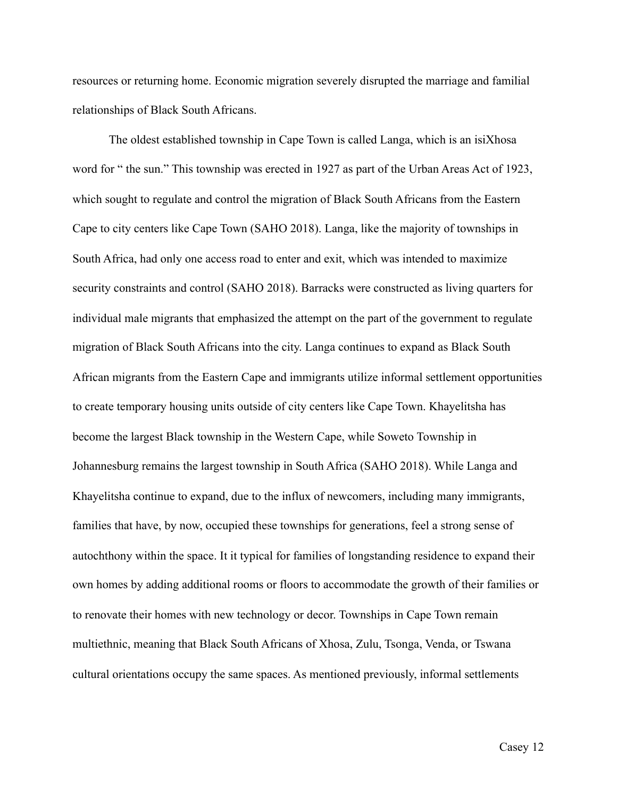resources or returning home. Economic migration severely disrupted the marriage and familial relationships of Black South Africans.

 The oldest established township in Cape Town is called Langa, which is an isiXhosa word for " the sun." This township was erected in 1927 as part of the Urban Areas Act of 1923, which sought to regulate and control the migration of Black South Africans from the Eastern Cape to city centers like Cape Town (SAHO 2018). Langa, like the majority of townships in South Africa, had only one access road to enter and exit, which was intended to maximize security constraints and control (SAHO 2018). Barracks were constructed as living quarters for individual male migrants that emphasized the attempt on the part of the government to regulate migration of Black South Africans into the city. Langa continues to expand as Black South African migrants from the Eastern Cape and immigrants utilize informal settlement opportunities to create temporary housing units outside of city centers like Cape Town. Khayelitsha has become the largest Black township in the Western Cape, while Soweto Township in Johannesburg remains the largest township in South Africa (SAHO 2018). While Langa and Khayelitsha continue to expand, due to the influx of newcomers, including many immigrants, families that have, by now, occupied these townships for generations, feel a strong sense of autochthony within the space. It it typical for families of longstanding residence to expand their own homes by adding additional rooms or floors to accommodate the growth of their families or to renovate their homes with new technology or decor. Townships in Cape Town remain multiethnic, meaning that Black South Africans of Xhosa, Zulu, Tsonga, Venda, or Tswana cultural orientations occupy the same spaces. As mentioned previously, informal settlements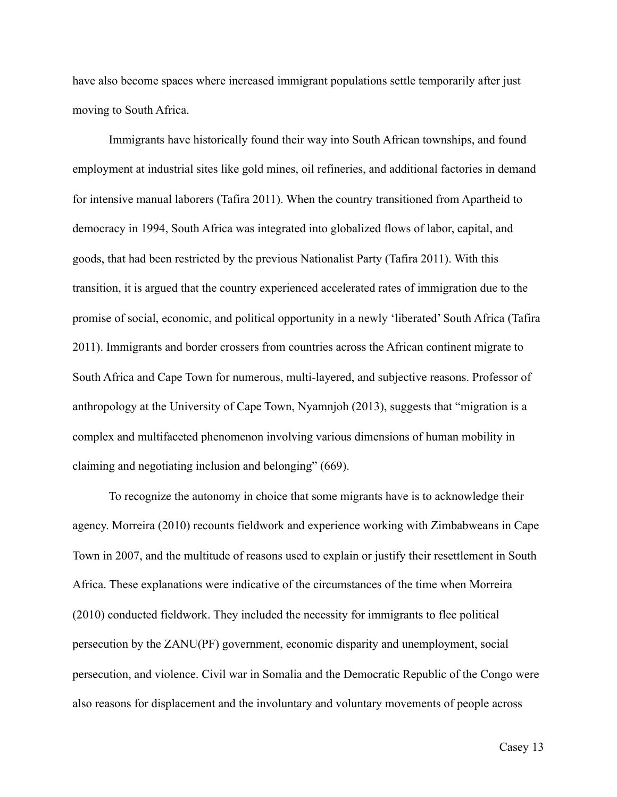have also become spaces where increased immigrant populations settle temporarily after just moving to South Africa.

 Immigrants have historically found their way into South African townships, and found employment at industrial sites like gold mines, oil refineries, and additional factories in demand for intensive manual laborers (Tafira 2011). When the country transitioned from Apartheid to democracy in 1994, South Africa was integrated into globalized flows of labor, capital, and goods, that had been restricted by the previous Nationalist Party (Tafira 2011). With this transition, it is argued that the country experienced accelerated rates of immigration due to the promise of social, economic, and political opportunity in a newly 'liberated' South Africa (Tafira 2011). Immigrants and border crossers from countries across the African continent migrate to South Africa and Cape Town for numerous, multi-layered, and subjective reasons. Professor of anthropology at the University of Cape Town, Nyamnjoh (2013), suggests that "migration is a complex and multifaceted phenomenon involving various dimensions of human mobility in claiming and negotiating inclusion and belonging" (669).

 To recognize the autonomy in choice that some migrants have is to acknowledge their agency. Morreira (2010) recounts fieldwork and experience working with Zimbabweans in Cape Town in 2007, and the multitude of reasons used to explain or justify their resettlement in South Africa. These explanations were indicative of the circumstances of the time when Morreira (2010) conducted fieldwork. They included the necessity for immigrants to flee political persecution by the ZANU(PF) government, economic disparity and unemployment, social persecution, and violence. Civil war in Somalia and the Democratic Republic of the Congo were also reasons for displacement and the involuntary and voluntary movements of people across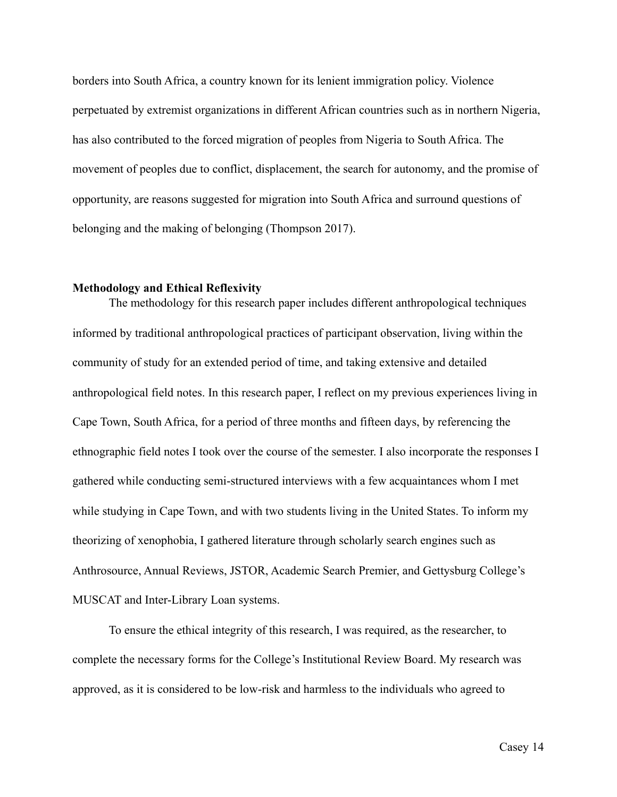borders into South Africa, a country known for its lenient immigration policy. Violence perpetuated by extremist organizations in different African countries such as in northern Nigeria, has also contributed to the forced migration of peoples from Nigeria to South Africa. The movement of peoples due to conflict, displacement, the search for autonomy, and the promise of opportunity, are reasons suggested for migration into South Africa and surround questions of belonging and the making of belonging (Thompson 2017).

# **Methodology and Ethical Reflexivity**

 The methodology for this research paper includes different anthropological techniques informed by traditional anthropological practices of participant observation, living within the community of study for an extended period of time, and taking extensive and detailed anthropological field notes. In this research paper, I reflect on my previous experiences living in Cape Town, South Africa, for a period of three months and fifteen days, by referencing the ethnographic field notes I took over the course of the semester. I also incorporate the responses I gathered while conducting semi-structured interviews with a few acquaintances whom I met while studying in Cape Town, and with two students living in the United States. To inform my theorizing of xenophobia, I gathered literature through scholarly search engines such as Anthrosource, Annual Reviews, JSTOR, Academic Search Premier, and Gettysburg College's MUSCAT and Inter-Library Loan systems.

 To ensure the ethical integrity of this research, I was required, as the researcher, to complete the necessary forms for the College's Institutional Review Board. My research was approved, as it is considered to be low-risk and harmless to the individuals who agreed to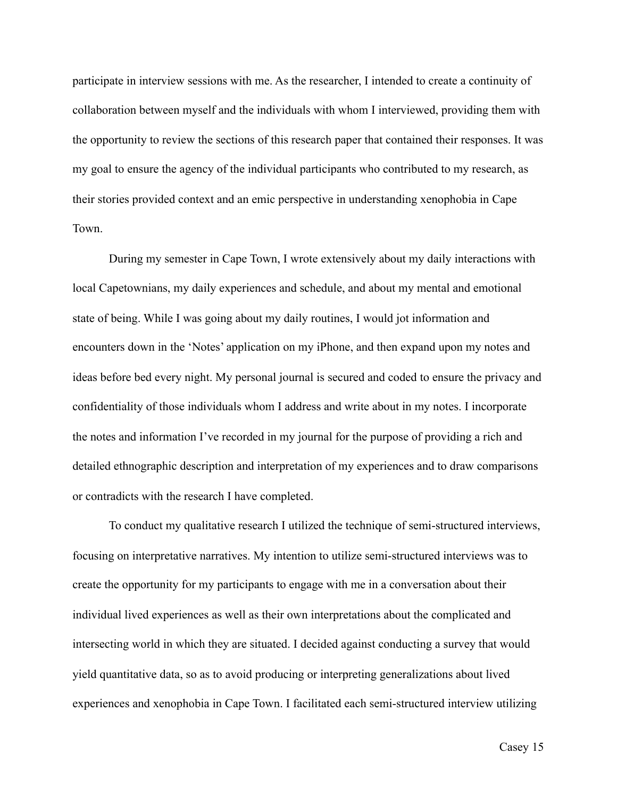participate in interview sessions with me. As the researcher, I intended to create a continuity of collaboration between myself and the individuals with whom I interviewed, providing them with the opportunity to review the sections of this research paper that contained their responses. It was my goal to ensure the agency of the individual participants who contributed to my research, as their stories provided context and an emic perspective in understanding xenophobia in Cape Town.

 During my semester in Cape Town, I wrote extensively about my daily interactions with local Capetownians, my daily experiences and schedule, and about my mental and emotional state of being. While I was going about my daily routines, I would jot information and encounters down in the 'Notes' application on my iPhone, and then expand upon my notes and ideas before bed every night. My personal journal is secured and coded to ensure the privacy and confidentiality of those individuals whom I address and write about in my notes. I incorporate the notes and information I've recorded in my journal for the purpose of providing a rich and detailed ethnographic description and interpretation of my experiences and to draw comparisons or contradicts with the research I have completed.

 To conduct my qualitative research I utilized the technique of semi-structured interviews, focusing on interpretative narratives. My intention to utilize semi-structured interviews was to create the opportunity for my participants to engage with me in a conversation about their individual lived experiences as well as their own interpretations about the complicated and intersecting world in which they are situated. I decided against conducting a survey that would yield quantitative data, so as to avoid producing or interpreting generalizations about lived experiences and xenophobia in Cape Town. I facilitated each semi-structured interview utilizing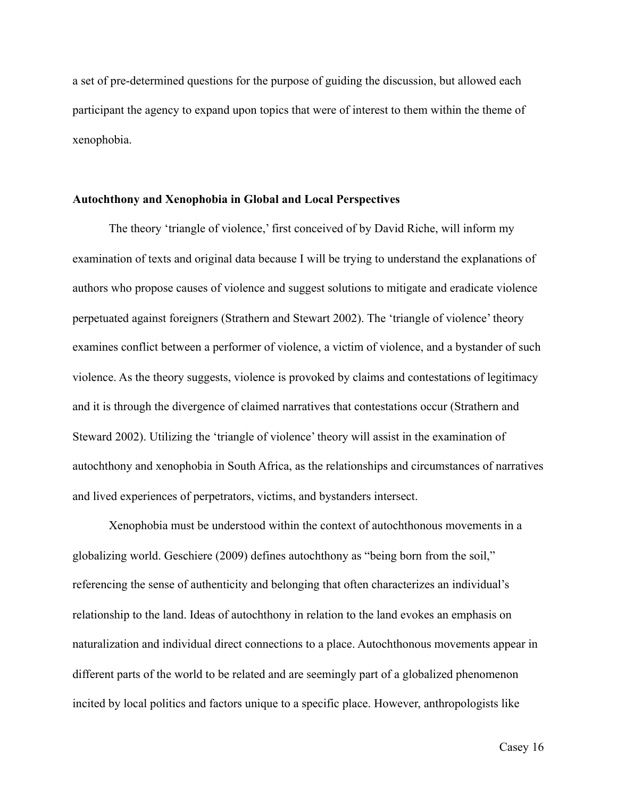a set of pre-determined questions for the purpose of guiding the discussion, but allowed each participant the agency to expand upon topics that were of interest to them within the theme of xenophobia.

# **Autochthony and Xenophobia in Global and Local Perspectives**

 The theory 'triangle of violence,' first conceived of by David Riche, will inform my examination of texts and original data because I will be trying to understand the explanations of authors who propose causes of violence and suggest solutions to mitigate and eradicate violence perpetuated against foreigners (Strathern and Stewart 2002). The 'triangle of violence' theory examines conflict between a performer of violence, a victim of violence, and a bystander of such violence. As the theory suggests, violence is provoked by claims and contestations of legitimacy and it is through the divergence of claimed narratives that contestations occur (Strathern and Steward 2002). Utilizing the 'triangle of violence' theory will assist in the examination of autochthony and xenophobia in South Africa, as the relationships and circumstances of narratives and lived experiences of perpetrators, victims, and bystanders intersect.

 Xenophobia must be understood within the context of autochthonous movements in a globalizing world. Geschiere (2009) defines autochthony as "being born from the soil," referencing the sense of authenticity and belonging that often characterizes an individual's relationship to the land. Ideas of autochthony in relation to the land evokes an emphasis on naturalization and individual direct connections to a place. Autochthonous movements appear in different parts of the world to be related and are seemingly part of a globalized phenomenon incited by local politics and factors unique to a specific place. However, anthropologists like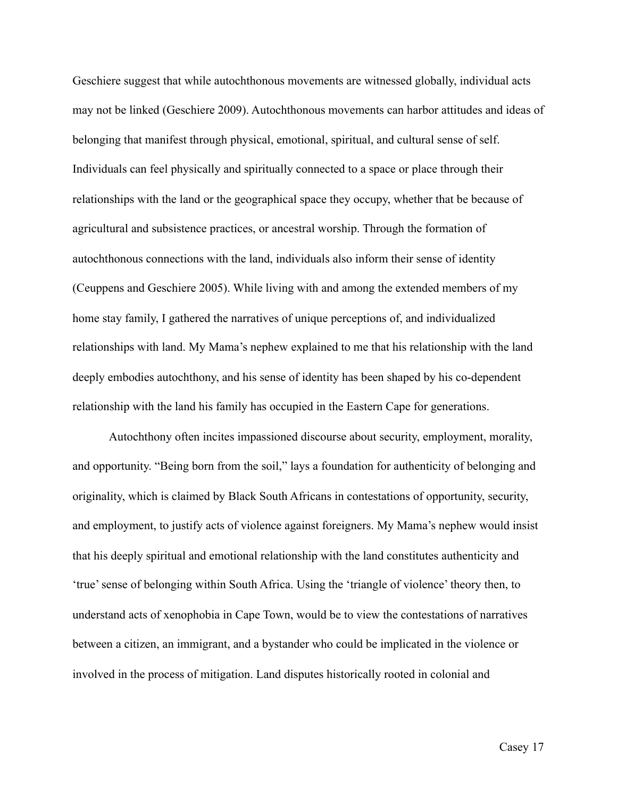Geschiere suggest that while autochthonous movements are witnessed globally, individual acts may not be linked (Geschiere 2009). Autochthonous movements can harbor attitudes and ideas of belonging that manifest through physical, emotional, spiritual, and cultural sense of self. Individuals can feel physically and spiritually connected to a space or place through their relationships with the land or the geographical space they occupy, whether that be because of agricultural and subsistence practices, or ancestral worship. Through the formation of autochthonous connections with the land, individuals also inform their sense of identity (Ceuppens and Geschiere 2005). While living with and among the extended members of my home stay family, I gathered the narratives of unique perceptions of, and individualized relationships with land. My Mama's nephew explained to me that his relationship with the land deeply embodies autochthony, and his sense of identity has been shaped by his co-dependent relationship with the land his family has occupied in the Eastern Cape for generations.

 Autochthony often incites impassioned discourse about security, employment, morality, and opportunity. "Being born from the soil," lays a foundation for authenticity of belonging and originality, which is claimed by Black South Africans in contestations of opportunity, security, and employment, to justify acts of violence against foreigners. My Mama's nephew would insist that his deeply spiritual and emotional relationship with the land constitutes authenticity and 'true' sense of belonging within South Africa. Using the 'triangle of violence' theory then, to understand acts of xenophobia in Cape Town, would be to view the contestations of narratives between a citizen, an immigrant, and a bystander who could be implicated in the violence or involved in the process of mitigation. Land disputes historically rooted in colonial and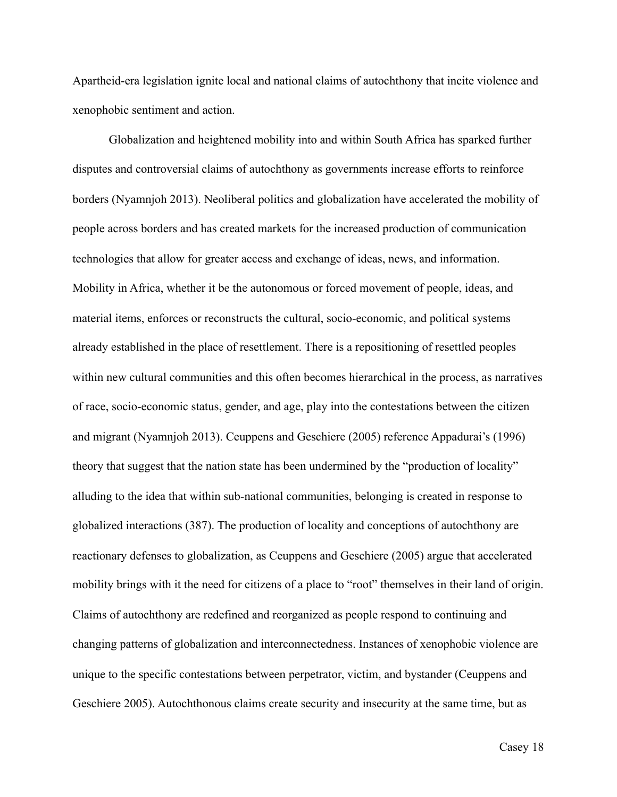Apartheid-era legislation ignite local and national claims of autochthony that incite violence and xenophobic sentiment and action.

 Globalization and heightened mobility into and within South Africa has sparked further disputes and controversial claims of autochthony as governments increase efforts to reinforce borders (Nyamnjoh 2013). Neoliberal politics and globalization have accelerated the mobility of people across borders and has created markets for the increased production of communication technologies that allow for greater access and exchange of ideas, news, and information. Mobility in Africa, whether it be the autonomous or forced movement of people, ideas, and material items, enforces or reconstructs the cultural, socio-economic, and political systems already established in the place of resettlement. There is a repositioning of resettled peoples within new cultural communities and this often becomes hierarchical in the process, as narratives of race, socio-economic status, gender, and age, play into the contestations between the citizen and migrant (Nyamnjoh 2013). Ceuppens and Geschiere (2005) reference Appadurai's (1996) theory that suggest that the nation state has been undermined by the "production of locality" alluding to the idea that within sub-national communities, belonging is created in response to globalized interactions (387). The production of locality and conceptions of autochthony are reactionary defenses to globalization, as Ceuppens and Geschiere (2005) argue that accelerated mobility brings with it the need for citizens of a place to "root" themselves in their land of origin. Claims of autochthony are redefined and reorganized as people respond to continuing and changing patterns of globalization and interconnectedness. Instances of xenophobic violence are unique to the specific contestations between perpetrator, victim, and bystander (Ceuppens and Geschiere 2005). Autochthonous claims create security and insecurity at the same time, but as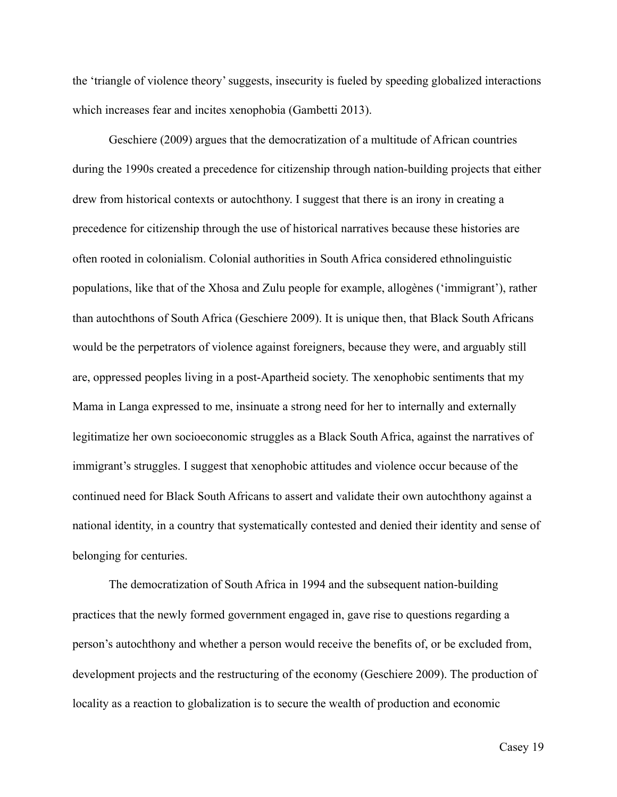the 'triangle of violence theory' suggests, insecurity is fueled by speeding globalized interactions which increases fear and incites xenophobia (Gambetti 2013).

 Geschiere (2009) argues that the democratization of a multitude of African countries during the 1990s created a precedence for citizenship through nation-building projects that either drew from historical contexts or autochthony. I suggest that there is an irony in creating a precedence for citizenship through the use of historical narratives because these histories are often rooted in colonialism. Colonial authorities in South Africa considered ethnolinguistic populations, like that of the Xhosa and Zulu people for example, allogènes ('immigrant'), rather than autochthons of South Africa (Geschiere 2009). It is unique then, that Black South Africans would be the perpetrators of violence against foreigners, because they were, and arguably still are, oppressed peoples living in a post-Apartheid society. The xenophobic sentiments that my Mama in Langa expressed to me, insinuate a strong need for her to internally and externally legitimatize her own socioeconomic struggles as a Black South Africa, against the narratives of immigrant's struggles. I suggest that xenophobic attitudes and violence occur because of the continued need for Black South Africans to assert and validate their own autochthony against a national identity, in a country that systematically contested and denied their identity and sense of belonging for centuries.

 The democratization of South Africa in 1994 and the subsequent nation-building practices that the newly formed government engaged in, gave rise to questions regarding a person's autochthony and whether a person would receive the benefits of, or be excluded from, development projects and the restructuring of the economy (Geschiere 2009). The production of locality as a reaction to globalization is to secure the wealth of production and economic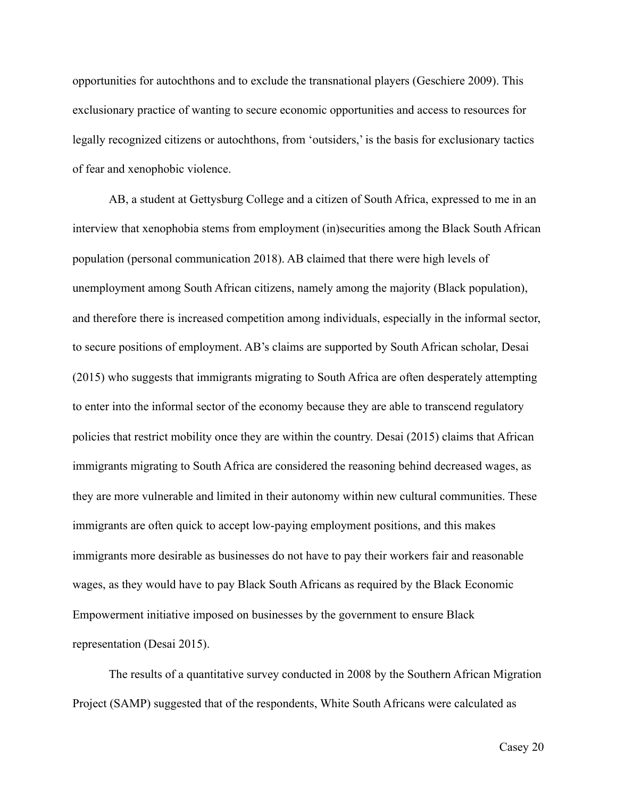opportunities for autochthons and to exclude the transnational players (Geschiere 2009). This exclusionary practice of wanting to secure economic opportunities and access to resources for legally recognized citizens or autochthons, from 'outsiders,' is the basis for exclusionary tactics of fear and xenophobic violence.

 AB, a student at Gettysburg College and a citizen of South Africa, expressed to me in an interview that xenophobia stems from employment (in)securities among the Black South African population (personal communication 2018). AB claimed that there were high levels of unemployment among South African citizens, namely among the majority (Black population), and therefore there is increased competition among individuals, especially in the informal sector, to secure positions of employment. AB's claims are supported by South African scholar, Desai (2015) who suggests that immigrants migrating to South Africa are often desperately attempting to enter into the informal sector of the economy because they are able to transcend regulatory policies that restrict mobility once they are within the country. Desai (2015) claims that African immigrants migrating to South Africa are considered the reasoning behind decreased wages, as they are more vulnerable and limited in their autonomy within new cultural communities. These immigrants are often quick to accept low-paying employment positions, and this makes immigrants more desirable as businesses do not have to pay their workers fair and reasonable wages, as they would have to pay Black South Africans as required by the Black Economic Empowerment initiative imposed on businesses by the government to ensure Black representation (Desai 2015).

 The results of a quantitative survey conducted in 2008 by the Southern African Migration Project (SAMP) suggested that of the respondents, White South Africans were calculated as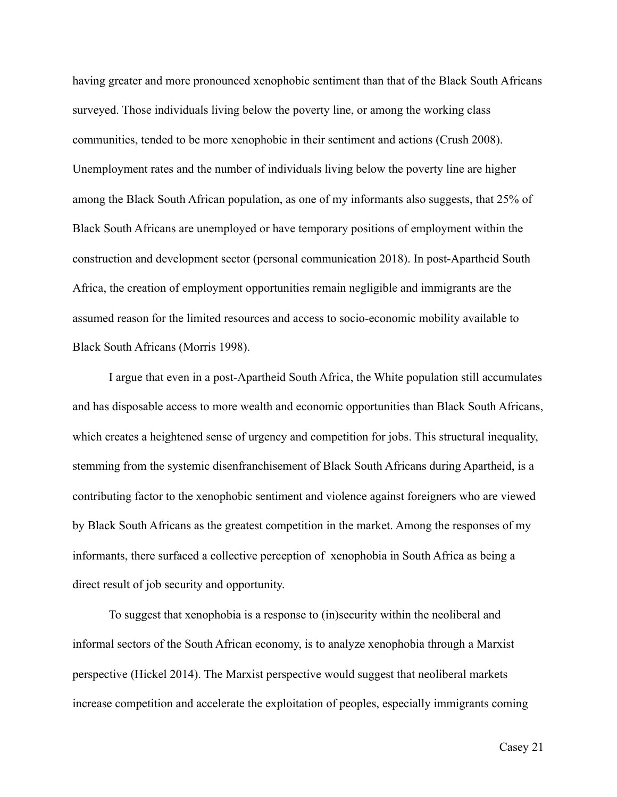having greater and more pronounced xenophobic sentiment than that of the Black South Africans surveyed. Those individuals living below the poverty line, or among the working class communities, tended to be more xenophobic in their sentiment and actions (Crush 2008). Unemployment rates and the number of individuals living below the poverty line are higher among the Black South African population, as one of my informants also suggests, that 25% of Black South Africans are unemployed or have temporary positions of employment within the construction and development sector (personal communication 2018). In post-Apartheid South Africa, the creation of employment opportunities remain negligible and immigrants are the assumed reason for the limited resources and access to socio-economic mobility available to Black South Africans (Morris 1998).

 I argue that even in a post-Apartheid South Africa, the White population still accumulates and has disposable access to more wealth and economic opportunities than Black South Africans, which creates a heightened sense of urgency and competition for jobs. This structural inequality, stemming from the systemic disenfranchisement of Black South Africans during Apartheid, is a contributing factor to the xenophobic sentiment and violence against foreigners who are viewed by Black South Africans as the greatest competition in the market. Among the responses of my informants, there surfaced a collective perception of xenophobia in South Africa as being a direct result of job security and opportunity.

 To suggest that xenophobia is a response to (in)security within the neoliberal and informal sectors of the South African economy, is to analyze xenophobia through a Marxist perspective (Hickel 2014). The Marxist perspective would suggest that neoliberal markets increase competition and accelerate the exploitation of peoples, especially immigrants coming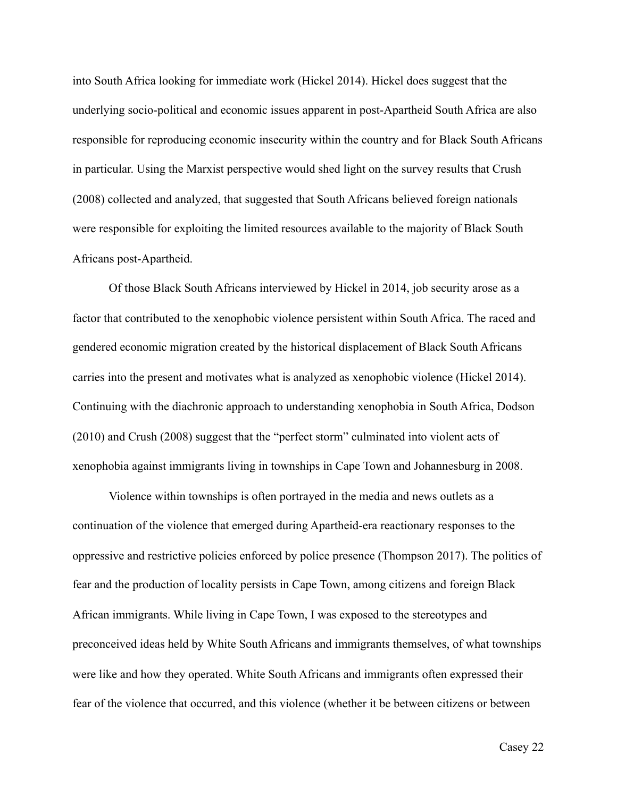into South Africa looking for immediate work (Hickel 2014). Hickel does suggest that the underlying socio-political and economic issues apparent in post-Apartheid South Africa are also responsible for reproducing economic insecurity within the country and for Black South Africans in particular. Using the Marxist perspective would shed light on the survey results that Crush (2008) collected and analyzed, that suggested that South Africans believed foreign nationals were responsible for exploiting the limited resources available to the majority of Black South Africans post-Apartheid.

 Of those Black South Africans interviewed by Hickel in 2014, job security arose as a factor that contributed to the xenophobic violence persistent within South Africa. The raced and gendered economic migration created by the historical displacement of Black South Africans carries into the present and motivates what is analyzed as xenophobic violence (Hickel 2014). Continuing with the diachronic approach to understanding xenophobia in South Africa, Dodson (2010) and Crush (2008) suggest that the "perfect storm" culminated into violent acts of xenophobia against immigrants living in townships in Cape Town and Johannesburg in 2008.

Violence within townships is often portrayed in the media and news outlets as a continuation of the violence that emerged during Apartheid-era reactionary responses to the oppressive and restrictive policies enforced by police presence (Thompson 2017). The politics of fear and the production of locality persists in Cape Town, among citizens and foreign Black African immigrants. While living in Cape Town, I was exposed to the stereotypes and preconceived ideas held by White South Africans and immigrants themselves, of what townships were like and how they operated. White South Africans and immigrants often expressed their fear of the violence that occurred, and this violence (whether it be between citizens or between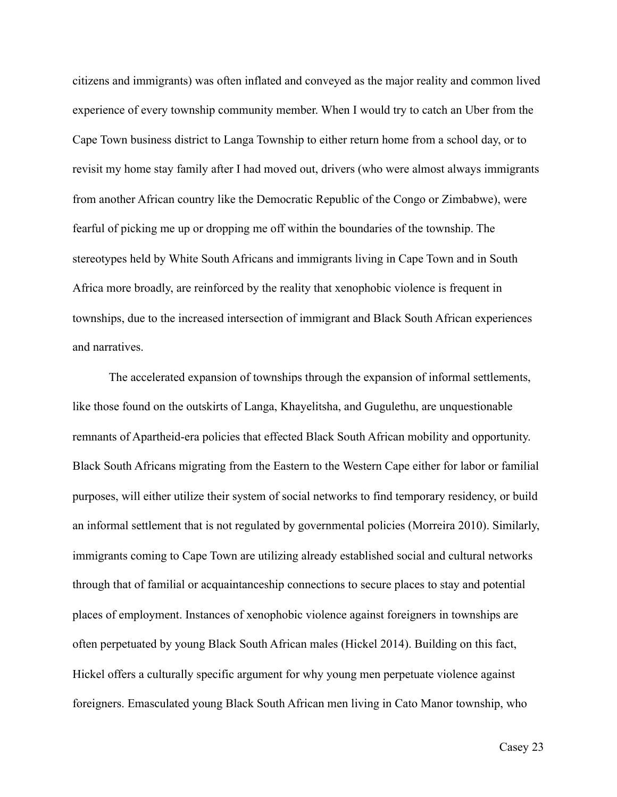citizens and immigrants) was often inflated and conveyed as the major reality and common lived experience of every township community member. When I would try to catch an Uber from the Cape Town business district to Langa Township to either return home from a school day, or to revisit my home stay family after I had moved out, drivers (who were almost always immigrants from another African country like the Democratic Republic of the Congo or Zimbabwe), were fearful of picking me up or dropping me off within the boundaries of the township. The stereotypes held by White South Africans and immigrants living in Cape Town and in South Africa more broadly, are reinforced by the reality that xenophobic violence is frequent in townships, due to the increased intersection of immigrant and Black South African experiences and narratives.

 The accelerated expansion of townships through the expansion of informal settlements, like those found on the outskirts of Langa, Khayelitsha, and Gugulethu, are unquestionable remnants of Apartheid-era policies that effected Black South African mobility and opportunity. Black South Africans migrating from the Eastern to the Western Cape either for labor or familial purposes, will either utilize their system of social networks to find temporary residency, or build an informal settlement that is not regulated by governmental policies (Morreira 2010). Similarly, immigrants coming to Cape Town are utilizing already established social and cultural networks through that of familial or acquaintanceship connections to secure places to stay and potential places of employment. Instances of xenophobic violence against foreigners in townships are often perpetuated by young Black South African males (Hickel 2014). Building on this fact, Hickel offers a culturally specific argument for why young men perpetuate violence against foreigners. Emasculated young Black South African men living in Cato Manor township, who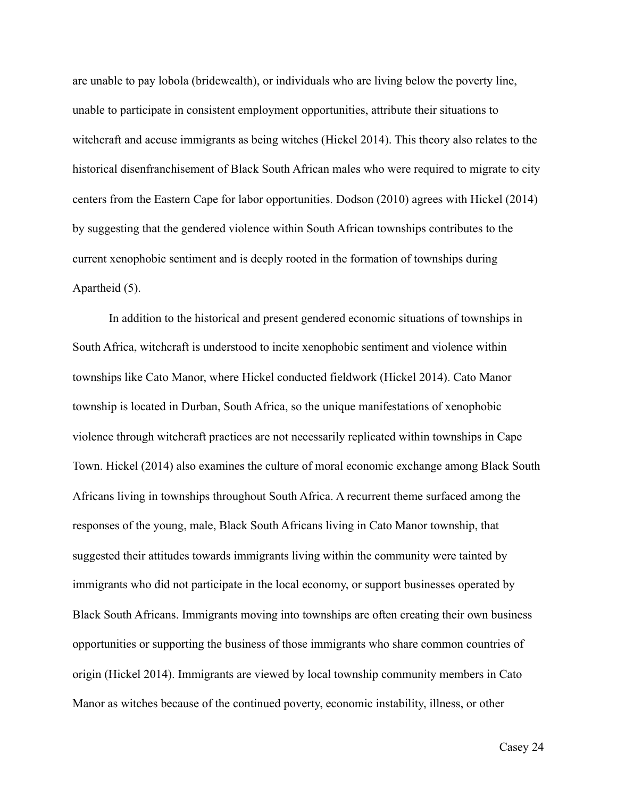are unable to pay lobola (bridewealth), or individuals who are living below the poverty line, unable to participate in consistent employment opportunities, attribute their situations to witchcraft and accuse immigrants as being witches (Hickel 2014). This theory also relates to the historical disenfranchisement of Black South African males who were required to migrate to city centers from the Eastern Cape for labor opportunities. Dodson (2010) agrees with Hickel (2014) by suggesting that the gendered violence within South African townships contributes to the current xenophobic sentiment and is deeply rooted in the formation of townships during Apartheid (5).

 In addition to the historical and present gendered economic situations of townships in South Africa, witchcraft is understood to incite xenophobic sentiment and violence within townships like Cato Manor, where Hickel conducted fieldwork (Hickel 2014). Cato Manor township is located in Durban, South Africa, so the unique manifestations of xenophobic violence through witchcraft practices are not necessarily replicated within townships in Cape Town. Hickel (2014) also examines the culture of moral economic exchange among Black South Africans living in townships throughout South Africa. A recurrent theme surfaced among the responses of the young, male, Black South Africans living in Cato Manor township, that suggested their attitudes towards immigrants living within the community were tainted by immigrants who did not participate in the local economy, or support businesses operated by Black South Africans. Immigrants moving into townships are often creating their own business opportunities or supporting the business of those immigrants who share common countries of origin (Hickel 2014). Immigrants are viewed by local township community members in Cato Manor as witches because of the continued poverty, economic instability, illness, or other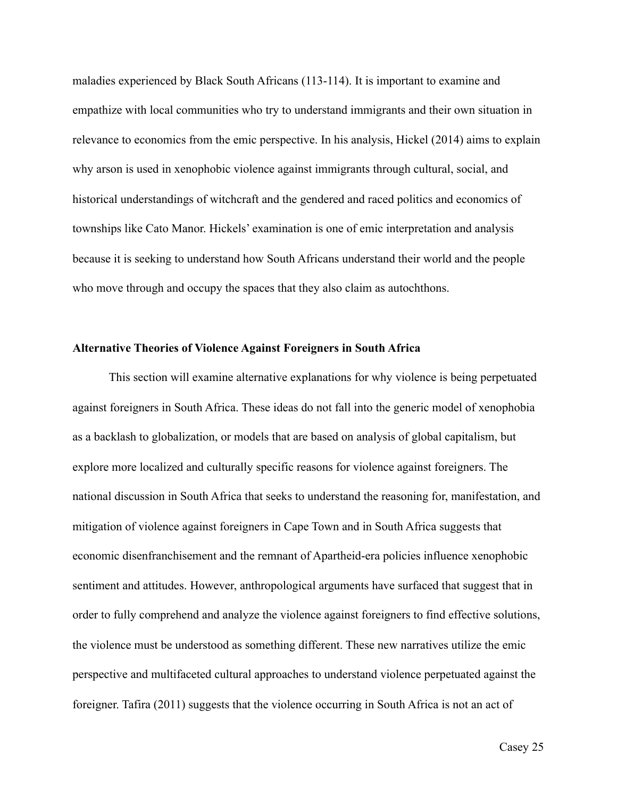maladies experienced by Black South Africans (113-114). It is important to examine and empathize with local communities who try to understand immigrants and their own situation in relevance to economics from the emic perspective. In his analysis, Hickel (2014) aims to explain why arson is used in xenophobic violence against immigrants through cultural, social, and historical understandings of witchcraft and the gendered and raced politics and economics of townships like Cato Manor. Hickels' examination is one of emic interpretation and analysis because it is seeking to understand how South Africans understand their world and the people who move through and occupy the spaces that they also claim as autochthons.

# **Alternative Theories of Violence Against Foreigners in South Africa**

 This section will examine alternative explanations for why violence is being perpetuated against foreigners in South Africa. These ideas do not fall into the generic model of xenophobia as a backlash to globalization, or models that are based on analysis of global capitalism, but explore more localized and culturally specific reasons for violence against foreigners. The national discussion in South Africa that seeks to understand the reasoning for, manifestation, and mitigation of violence against foreigners in Cape Town and in South Africa suggests that economic disenfranchisement and the remnant of Apartheid-era policies influence xenophobic sentiment and attitudes. However, anthropological arguments have surfaced that suggest that in order to fully comprehend and analyze the violence against foreigners to find effective solutions, the violence must be understood as something different. These new narratives utilize the emic perspective and multifaceted cultural approaches to understand violence perpetuated against the foreigner. Tafira (2011) suggests that the violence occurring in South Africa is not an act of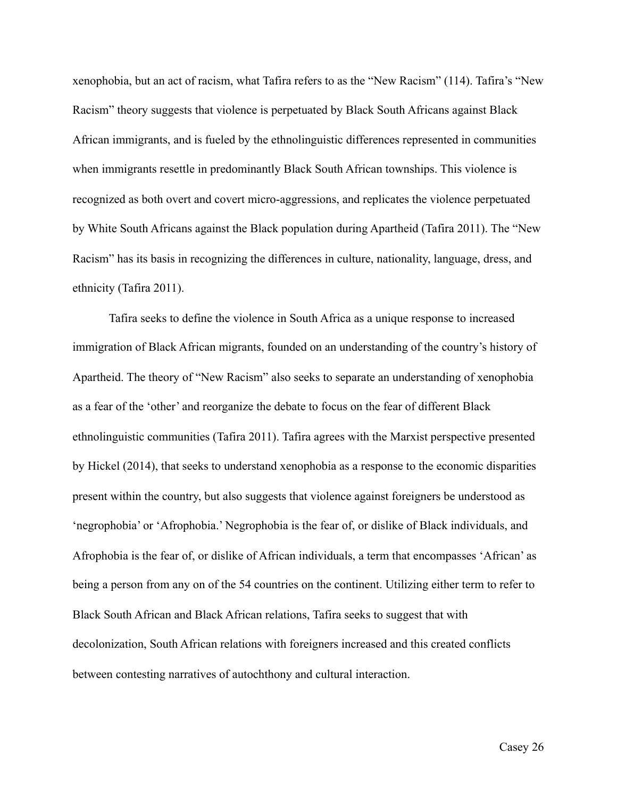xenophobia, but an act of racism, what Tafira refers to as the "New Racism" (114). Tafira's "New Racism" theory suggests that violence is perpetuated by Black South Africans against Black African immigrants, and is fueled by the ethnolinguistic differences represented in communities when immigrants resettle in predominantly Black South African townships. This violence is recognized as both overt and covert micro-aggressions, and replicates the violence perpetuated by White South Africans against the Black population during Apartheid (Tafira 2011). The "New Racism" has its basis in recognizing the differences in culture, nationality, language, dress, and ethnicity (Tafira 2011).

 Tafira seeks to define the violence in South Africa as a unique response to increased immigration of Black African migrants, founded on an understanding of the country's history of Apartheid. The theory of "New Racism" also seeks to separate an understanding of xenophobia as a fear of the 'other' and reorganize the debate to focus on the fear of different Black ethnolinguistic communities (Tafira 2011). Tafira agrees with the Marxist perspective presented by Hickel (2014), that seeks to understand xenophobia as a response to the economic disparities present within the country, but also suggests that violence against foreigners be understood as 'negrophobia' or 'Afrophobia.' Negrophobia is the fear of, or dislike of Black individuals, and Afrophobia is the fear of, or dislike of African individuals, a term that encompasses 'African' as being a person from any on of the 54 countries on the continent. Utilizing either term to refer to Black South African and Black African relations, Tafira seeks to suggest that with decolonization, South African relations with foreigners increased and this created conflicts between contesting narratives of autochthony and cultural interaction.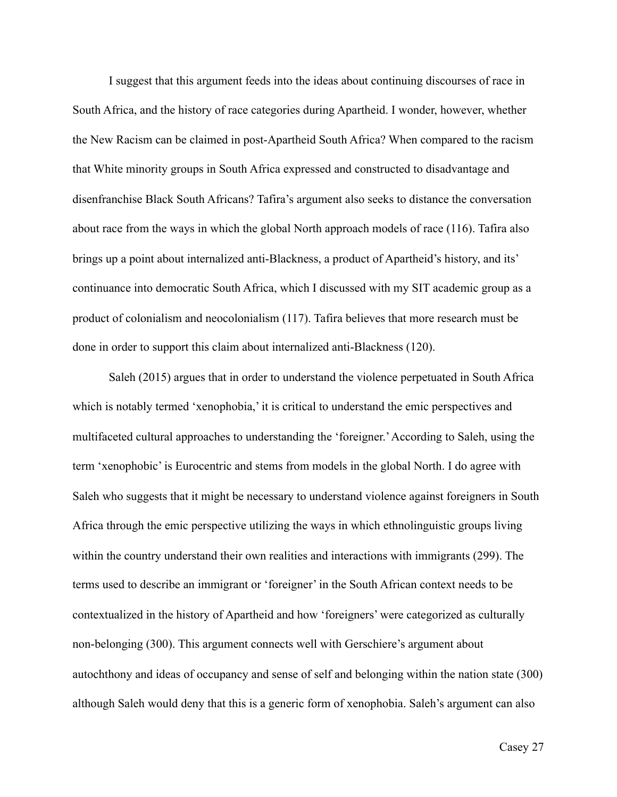I suggest that this argument feeds into the ideas about continuing discourses of race in South Africa, and the history of race categories during Apartheid. I wonder, however, whether the New Racism can be claimed in post-Apartheid South Africa? When compared to the racism that White minority groups in South Africa expressed and constructed to disadvantage and disenfranchise Black South Africans? Tafira's argument also seeks to distance the conversation about race from the ways in which the global North approach models of race (116). Tafira also brings up a point about internalized anti-Blackness, a product of Apartheid's history, and its' continuance into democratic South Africa, which I discussed with my SIT academic group as a product of colonialism and neocolonialism (117). Tafira believes that more research must be done in order to support this claim about internalized anti-Blackness (120).

 Saleh (2015) argues that in order to understand the violence perpetuated in South Africa which is notably termed 'xenophobia,' it is critical to understand the emic perspectives and multifaceted cultural approaches to understanding the 'foreigner.' According to Saleh, using the term 'xenophobic' is Eurocentric and stems from models in the global North. I do agree with Saleh who suggests that it might be necessary to understand violence against foreigners in South Africa through the emic perspective utilizing the ways in which ethnolinguistic groups living within the country understand their own realities and interactions with immigrants (299). The terms used to describe an immigrant or 'foreigner' in the South African context needs to be contextualized in the history of Apartheid and how 'foreigners' were categorized as culturally non-belonging (300). This argument connects well with Gerschiere's argument about autochthony and ideas of occupancy and sense of self and belonging within the nation state (300) although Saleh would deny that this is a generic form of xenophobia. Saleh's argument can also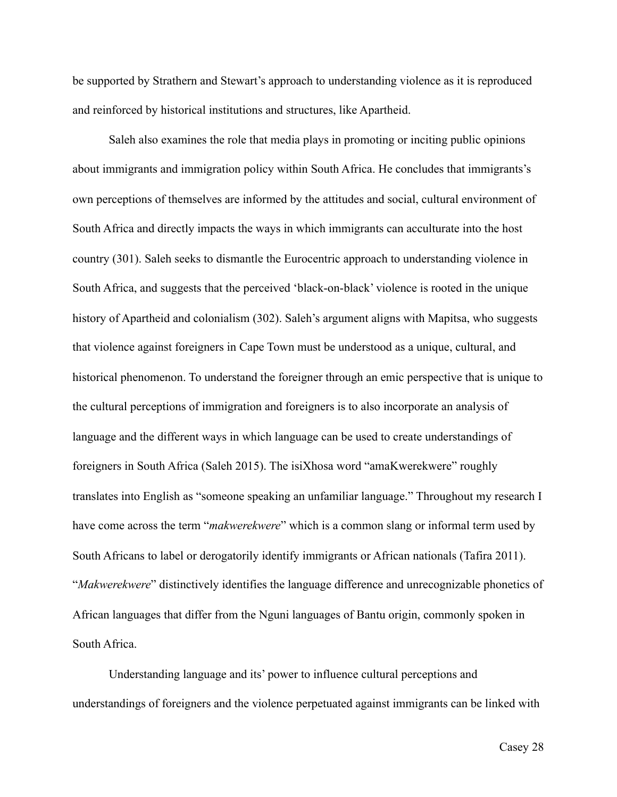be supported by Strathern and Stewart's approach to understanding violence as it is reproduced and reinforced by historical institutions and structures, like Apartheid.

 Saleh also examines the role that media plays in promoting or inciting public opinions about immigrants and immigration policy within South Africa. He concludes that immigrants's own perceptions of themselves are informed by the attitudes and social, cultural environment of South Africa and directly impacts the ways in which immigrants can acculturate into the host country (301). Saleh seeks to dismantle the Eurocentric approach to understanding violence in South Africa, and suggests that the perceived 'black-on-black' violence is rooted in the unique history of Apartheid and colonialism (302). Saleh's argument aligns with Mapitsa, who suggests that violence against foreigners in Cape Town must be understood as a unique, cultural, and historical phenomenon. To understand the foreigner through an emic perspective that is unique to the cultural perceptions of immigration and foreigners is to also incorporate an analysis of language and the different ways in which language can be used to create understandings of foreigners in South Africa (Saleh 2015). The isiXhosa word "amaKwerekwere" roughly translates into English as "someone speaking an unfamiliar language." Throughout my research I have come across the term "*makwerekwere*" which is a common slang or informal term used by South Africans to label or derogatorily identify immigrants or African nationals (Tafira 2011). "*Makwerekwere*" distinctively identifies the language difference and unrecognizable phonetics of African languages that differ from the Nguni languages of Bantu origin, commonly spoken in South Africa.

 Understanding language and its' power to influence cultural perceptions and understandings of foreigners and the violence perpetuated against immigrants can be linked with

Casey 28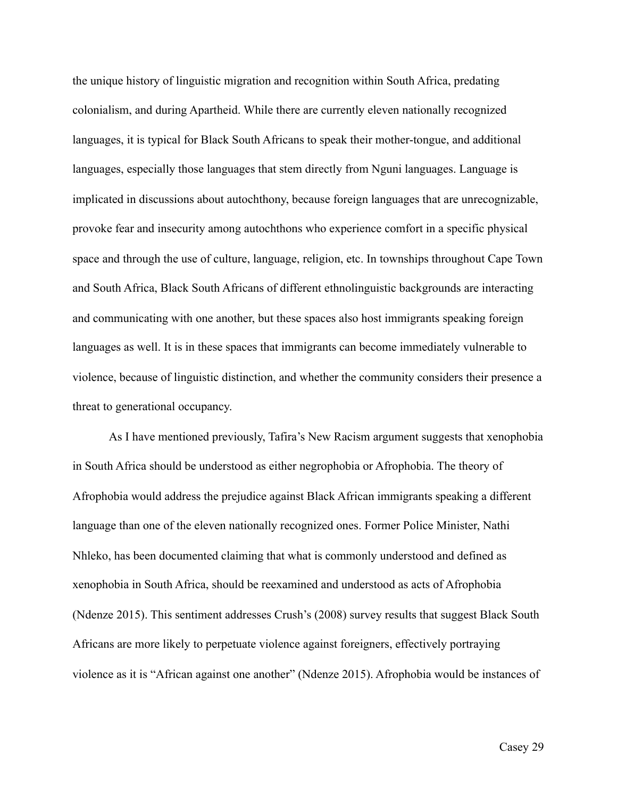the unique history of linguistic migration and recognition within South Africa, predating colonialism, and during Apartheid. While there are currently eleven nationally recognized languages, it is typical for Black South Africans to speak their mother-tongue, and additional languages, especially those languages that stem directly from Nguni languages. Language is implicated in discussions about autochthony, because foreign languages that are unrecognizable, provoke fear and insecurity among autochthons who experience comfort in a specific physical space and through the use of culture, language, religion, etc. In townships throughout Cape Town and South Africa, Black South Africans of different ethnolinguistic backgrounds are interacting and communicating with one another, but these spaces also host immigrants speaking foreign languages as well. It is in these spaces that immigrants can become immediately vulnerable to violence, because of linguistic distinction, and whether the community considers their presence a threat to generational occupancy.

 As I have mentioned previously, Tafira's New Racism argument suggests that xenophobia in South Africa should be understood as either negrophobia or Afrophobia. The theory of Afrophobia would address the prejudice against Black African immigrants speaking a different language than one of the eleven nationally recognized ones. Former Police Minister, Nathi Nhleko, has been documented claiming that what is commonly understood and defined as xenophobia in South Africa, should be reexamined and understood as acts of Afrophobia (Ndenze 2015). This sentiment addresses Crush's (2008) survey results that suggest Black South Africans are more likely to perpetuate violence against foreigners, effectively portraying violence as it is "African against one another" (Ndenze 2015). Afrophobia would be instances of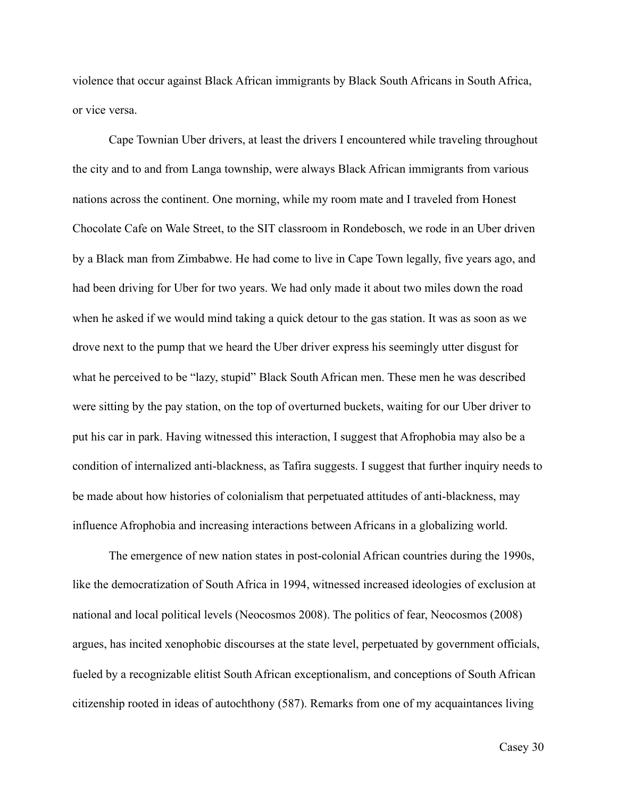violence that occur against Black African immigrants by Black South Africans in South Africa, or vice versa.

 Cape Townian Uber drivers, at least the drivers I encountered while traveling throughout the city and to and from Langa township, were always Black African immigrants from various nations across the continent. One morning, while my room mate and I traveled from Honest Chocolate Cafe on Wale Street, to the SIT classroom in Rondebosch, we rode in an Uber driven by a Black man from Zimbabwe. He had come to live in Cape Town legally, five years ago, and had been driving for Uber for two years. We had only made it about two miles down the road when he asked if we would mind taking a quick detour to the gas station. It was as soon as we drove next to the pump that we heard the Uber driver express his seemingly utter disgust for what he perceived to be "lazy, stupid" Black South African men. These men he was described were sitting by the pay station, on the top of overturned buckets, waiting for our Uber driver to put his car in park. Having witnessed this interaction, I suggest that Afrophobia may also be a condition of internalized anti-blackness, as Tafira suggests. I suggest that further inquiry needs to be made about how histories of colonialism that perpetuated attitudes of anti-blackness, may influence Afrophobia and increasing interactions between Africans in a globalizing world.

 The emergence of new nation states in post-colonial African countries during the 1990s, like the democratization of South Africa in 1994, witnessed increased ideologies of exclusion at national and local political levels (Neocosmos 2008). The politics of fear, Neocosmos (2008) argues, has incited xenophobic discourses at the state level, perpetuated by government officials, fueled by a recognizable elitist South African exceptionalism, and conceptions of South African citizenship rooted in ideas of autochthony (587). Remarks from one of my acquaintances living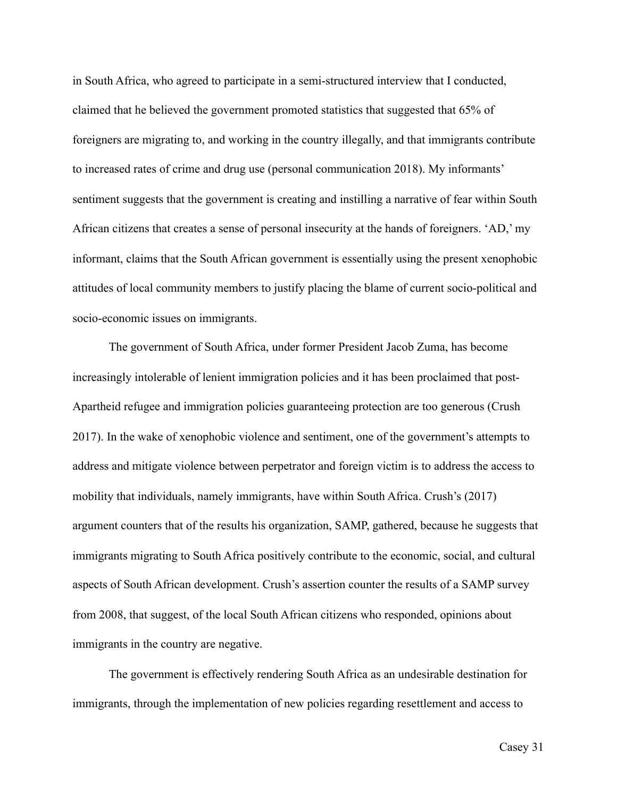in South Africa, who agreed to participate in a semi-structured interview that I conducted, claimed that he believed the government promoted statistics that suggested that 65% of foreigners are migrating to, and working in the country illegally, and that immigrants contribute to increased rates of crime and drug use (personal communication 2018). My informants' sentiment suggests that the government is creating and instilling a narrative of fear within South African citizens that creates a sense of personal insecurity at the hands of foreigners. 'AD,' my informant, claims that the South African government is essentially using the present xenophobic attitudes of local community members to justify placing the blame of current socio-political and socio-economic issues on immigrants.

 The government of South Africa, under former President Jacob Zuma, has become increasingly intolerable of lenient immigration policies and it has been proclaimed that post-Apartheid refugee and immigration policies guaranteeing protection are too generous (Crush 2017). In the wake of xenophobic violence and sentiment, one of the government's attempts to address and mitigate violence between perpetrator and foreign victim is to address the access to mobility that individuals, namely immigrants, have within South Africa. Crush's (2017) argument counters that of the results his organization, SAMP, gathered, because he suggests that immigrants migrating to South Africa positively contribute to the economic, social, and cultural aspects of South African development. Crush's assertion counter the results of a SAMP survey from 2008, that suggest, of the local South African citizens who responded, opinions about immigrants in the country are negative.

 The government is effectively rendering South Africa as an undesirable destination for immigrants, through the implementation of new policies regarding resettlement and access to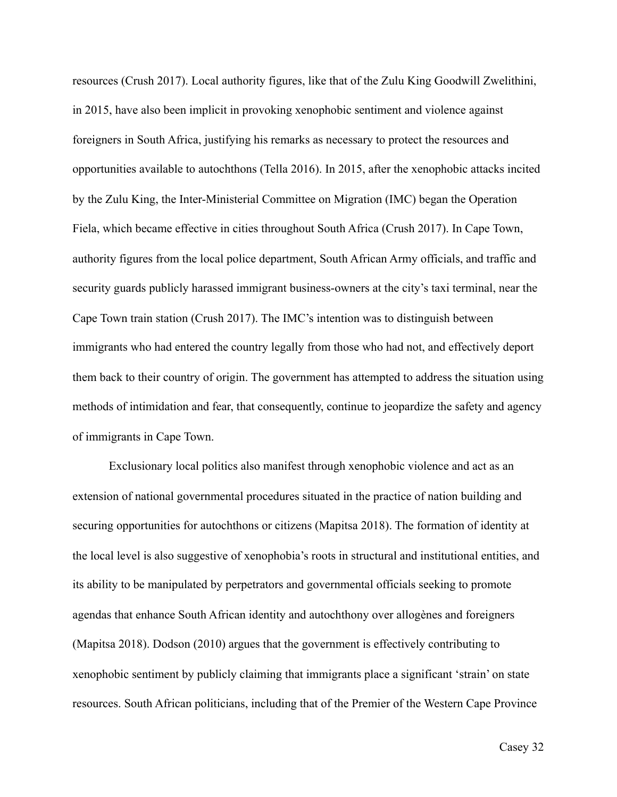resources (Crush 2017). Local authority figures, like that of the Zulu King Goodwill Zwelithini, in 2015, have also been implicit in provoking xenophobic sentiment and violence against foreigners in South Africa, justifying his remarks as necessary to protect the resources and opportunities available to autochthons (Tella 2016). In 2015, after the xenophobic attacks incited by the Zulu King, the Inter-Ministerial Committee on Migration (IMC) began the Operation Fiela, which became effective in cities throughout South Africa (Crush 2017). In Cape Town, authority figures from the local police department, South African Army officials, and traffic and security guards publicly harassed immigrant business-owners at the city's taxi terminal, near the Cape Town train station (Crush 2017). The IMC's intention was to distinguish between immigrants who had entered the country legally from those who had not, and effectively deport them back to their country of origin. The government has attempted to address the situation using methods of intimidation and fear, that consequently, continue to jeopardize the safety and agency of immigrants in Cape Town.

 Exclusionary local politics also manifest through xenophobic violence and act as an extension of national governmental procedures situated in the practice of nation building and securing opportunities for autochthons or citizens (Mapitsa 2018). The formation of identity at the local level is also suggestive of xenophobia's roots in structural and institutional entities, and its ability to be manipulated by perpetrators and governmental officials seeking to promote agendas that enhance South African identity and autochthony over allogènes and foreigners (Mapitsa 2018). Dodson (2010) argues that the government is effectively contributing to xenophobic sentiment by publicly claiming that immigrants place a significant 'strain' on state resources. South African politicians, including that of the Premier of the Western Cape Province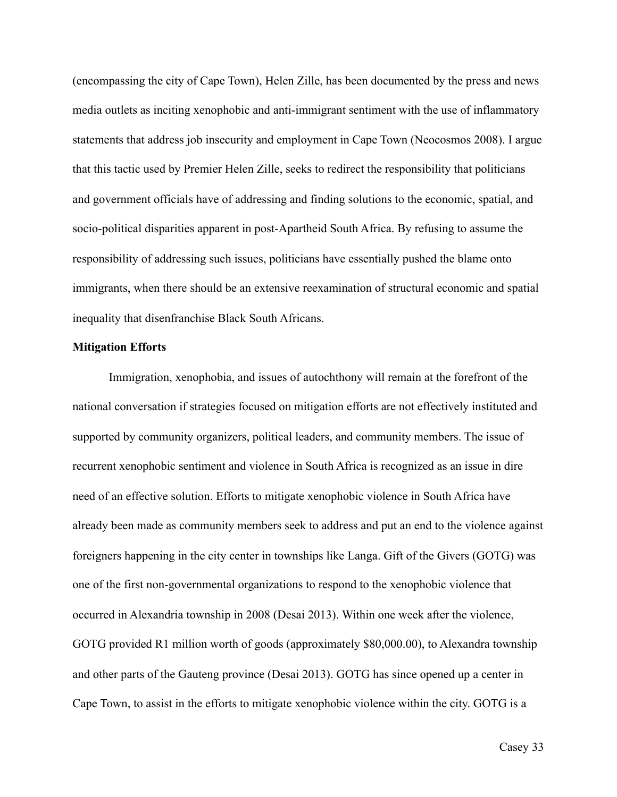(encompassing the city of Cape Town), Helen Zille, has been documented by the press and news media outlets as inciting xenophobic and anti-immigrant sentiment with the use of inflammatory statements that address job insecurity and employment in Cape Town (Neocosmos 2008). I argue that this tactic used by Premier Helen Zille, seeks to redirect the responsibility that politicians and government officials have of addressing and finding solutions to the economic, spatial, and socio-political disparities apparent in post-Apartheid South Africa. By refusing to assume the responsibility of addressing such issues, politicians have essentially pushed the blame onto immigrants, when there should be an extensive reexamination of structural economic and spatial inequality that disenfranchise Black South Africans.

# **Mitigation Efforts**

 Immigration, xenophobia, and issues of autochthony will remain at the forefront of the national conversation if strategies focused on mitigation efforts are not effectively instituted and supported by community organizers, political leaders, and community members. The issue of recurrent xenophobic sentiment and violence in South Africa is recognized as an issue in dire need of an effective solution. Efforts to mitigate xenophobic violence in South Africa have already been made as community members seek to address and put an end to the violence against foreigners happening in the city center in townships like Langa. Gift of the Givers (GOTG) was one of the first non-governmental organizations to respond to the xenophobic violence that occurred in Alexandria township in 2008 (Desai 2013). Within one week after the violence, GOTG provided R1 million worth of goods (approximately \$80,000.00), to Alexandra township and other parts of the Gauteng province (Desai 2013). GOTG has since opened up a center in Cape Town, to assist in the efforts to mitigate xenophobic violence within the city. GOTG is a

Casey 33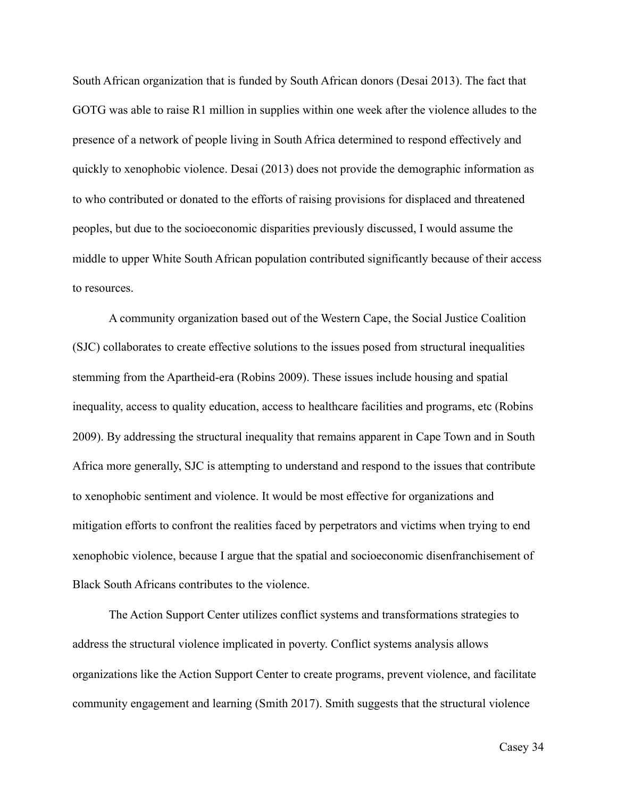South African organization that is funded by South African donors (Desai 2013). The fact that GOTG was able to raise R1 million in supplies within one week after the violence alludes to the presence of a network of people living in South Africa determined to respond effectively and quickly to xenophobic violence. Desai (2013) does not provide the demographic information as to who contributed or donated to the efforts of raising provisions for displaced and threatened peoples, but due to the socioeconomic disparities previously discussed, I would assume the middle to upper White South African population contributed significantly because of their access to resources.

 A community organization based out of the Western Cape, the Social Justice Coalition (SJC) collaborates to create effective solutions to the issues posed from structural inequalities stemming from the Apartheid-era (Robins 2009). These issues include housing and spatial inequality, access to quality education, access to healthcare facilities and programs, etc (Robins 2009). By addressing the structural inequality that remains apparent in Cape Town and in South Africa more generally, SJC is attempting to understand and respond to the issues that contribute to xenophobic sentiment and violence. It would be most effective for organizations and mitigation efforts to confront the realities faced by perpetrators and victims when trying to end xenophobic violence, because I argue that the spatial and socioeconomic disenfranchisement of Black South Africans contributes to the violence.

 The Action Support Center utilizes conflict systems and transformations strategies to address the structural violence implicated in poverty. Conflict systems analysis allows organizations like the Action Support Center to create programs, prevent violence, and facilitate community engagement and learning (Smith 2017). Smith suggests that the structural violence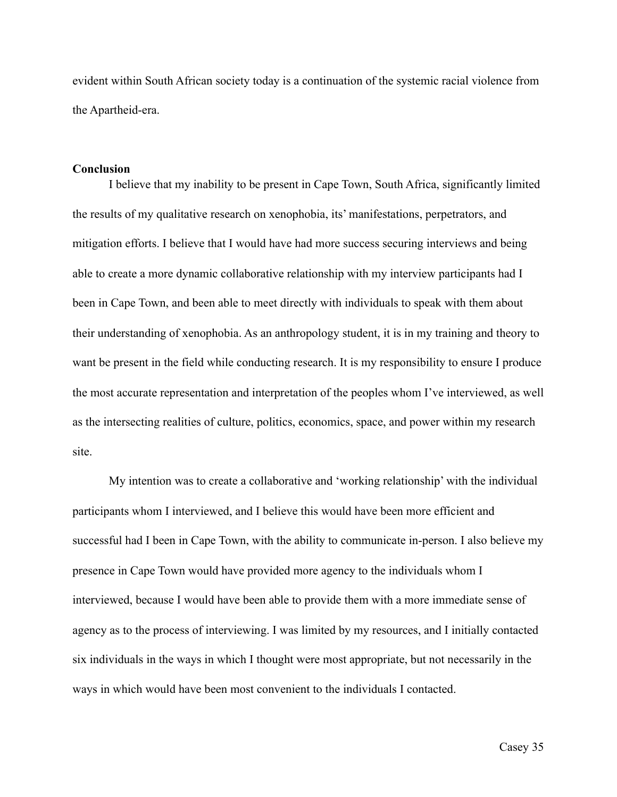evident within South African society today is a continuation of the systemic racial violence from the Apartheid-era.

# **Conclusion**

I believe that my inability to be present in Cape Town, South Africa, significantly limited the results of my qualitative research on xenophobia, its' manifestations, perpetrators, and mitigation efforts. I believe that I would have had more success securing interviews and being able to create a more dynamic collaborative relationship with my interview participants had I been in Cape Town, and been able to meet directly with individuals to speak with them about their understanding of xenophobia. As an anthropology student, it is in my training and theory to want be present in the field while conducting research. It is my responsibility to ensure I produce the most accurate representation and interpretation of the peoples whom I've interviewed, as well as the intersecting realities of culture, politics, economics, space, and power within my research site.

 My intention was to create a collaborative and 'working relationship' with the individual participants whom I interviewed, and I believe this would have been more efficient and successful had I been in Cape Town, with the ability to communicate in-person. I also believe my presence in Cape Town would have provided more agency to the individuals whom I interviewed, because I would have been able to provide them with a more immediate sense of agency as to the process of interviewing. I was limited by my resources, and I initially contacted six individuals in the ways in which I thought were most appropriate, but not necessarily in the ways in which would have been most convenient to the individuals I contacted.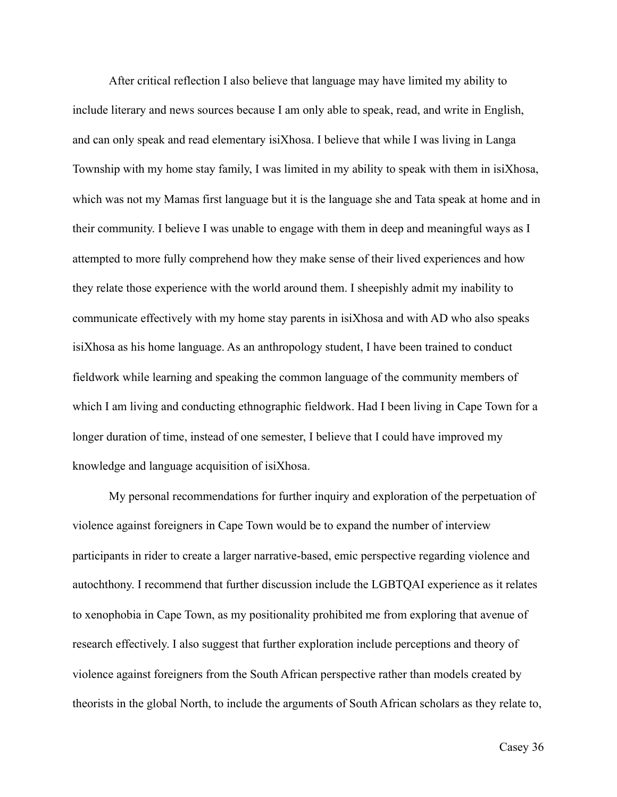After critical reflection I also believe that language may have limited my ability to include literary and news sources because I am only able to speak, read, and write in English, and can only speak and read elementary isiXhosa. I believe that while I was living in Langa Township with my home stay family, I was limited in my ability to speak with them in isiXhosa, which was not my Mamas first language but it is the language she and Tata speak at home and in their community. I believe I was unable to engage with them in deep and meaningful ways as I attempted to more fully comprehend how they make sense of their lived experiences and how they relate those experience with the world around them. I sheepishly admit my inability to communicate effectively with my home stay parents in isiXhosa and with AD who also speaks isiXhosa as his home language. As an anthropology student, I have been trained to conduct fieldwork while learning and speaking the common language of the community members of which I am living and conducting ethnographic fieldwork. Had I been living in Cape Town for a longer duration of time, instead of one semester, I believe that I could have improved my knowledge and language acquisition of isiXhosa.

My personal recommendations for further inquiry and exploration of the perpetuation of violence against foreigners in Cape Town would be to expand the number of interview participants in rider to create a larger narrative-based, emic perspective regarding violence and autochthony. I recommend that further discussion include the LGBTQAI experience as it relates to xenophobia in Cape Town, as my positionality prohibited me from exploring that avenue of research effectively. I also suggest that further exploration include perceptions and theory of violence against foreigners from the South African perspective rather than models created by theorists in the global North, to include the arguments of South African scholars as they relate to,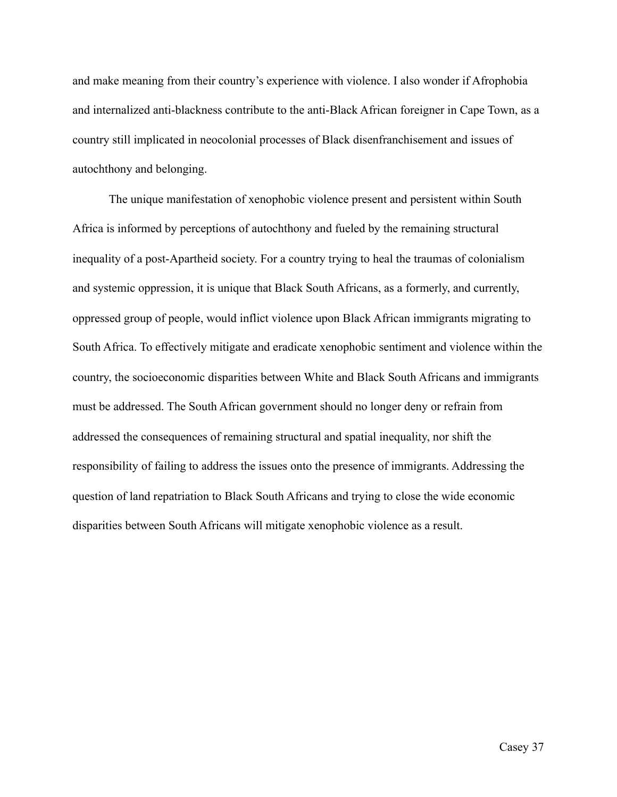and make meaning from their country's experience with violence. I also wonder if Afrophobia and internalized anti-blackness contribute to the anti-Black African foreigner in Cape Town, as a country still implicated in neocolonial processes of Black disenfranchisement and issues of autochthony and belonging.

 The unique manifestation of xenophobic violence present and persistent within South Africa is informed by perceptions of autochthony and fueled by the remaining structural inequality of a post-Apartheid society. For a country trying to heal the traumas of colonialism and systemic oppression, it is unique that Black South Africans, as a formerly, and currently, oppressed group of people, would inflict violence upon Black African immigrants migrating to South Africa. To effectively mitigate and eradicate xenophobic sentiment and violence within the country, the socioeconomic disparities between White and Black South Africans and immigrants must be addressed. The South African government should no longer deny or refrain from addressed the consequences of remaining structural and spatial inequality, nor shift the responsibility of failing to address the issues onto the presence of immigrants. Addressing the question of land repatriation to Black South Africans and trying to close the wide economic disparities between South Africans will mitigate xenophobic violence as a result.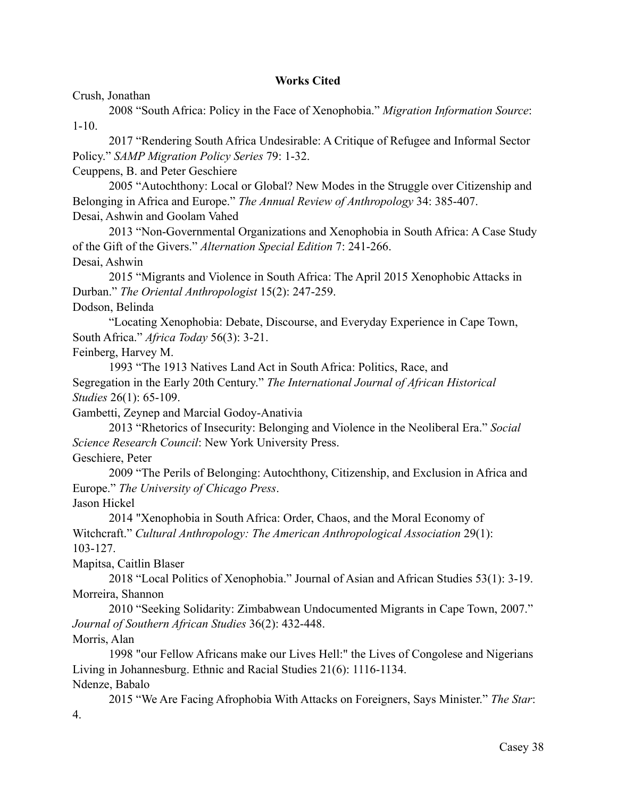# **Works Cited**

Crush, Jonathan

 2008 "South Africa: Policy in the Face of Xenophobia." *Migration Information Source*: 1-10.

 2017 "Rendering South Africa Undesirable: A Critique of Refugee and Informal Sector Policy." *SAMP Migration Policy Series* 79: 1-32.

Ceuppens, B. and Peter Geschiere

 2005 "Autochthony: Local or Global? New Modes in the Struggle over Citizenship and Belonging in Africa and Europe." *The Annual Review of Anthropology* 34: 385-407. Desai, Ashwin and Goolam Vahed

 2013 "Non-Governmental Organizations and Xenophobia in South Africa: A Case Study of the Gift of the Givers." *Alternation Special Edition* 7: 241-266. Desai, Ashwin

 2015 "Migrants and Violence in South Africa: The April 2015 Xenophobic Attacks in Durban." *The Oriental Anthropologist* 15(2): 247-259.

Dodson, Belinda

 "Locating Xenophobia: Debate, Discourse, and Everyday Experience in Cape Town, South Africa." *Africa Today* 56(3): 3-21.

Feinberg, Harvey M.

 1993 "The 1913 Natives Land Act in South Africa: Politics, Race, and Segregation in the Early 20th Century." *The International Journal of African Historical Studies* 26(1): 65-109.

Gambetti, Zeynep and Marcial Godoy-Anativia

 2013 "Rhetorics of Insecurity: Belonging and Violence in the Neoliberal Era." *Social Science Research Council*: New York University Press.

Geschiere, Peter

 2009 "The Perils of Belonging: Autochthony, Citizenship, and Exclusion in Africa and Europe." *The University of Chicago Press*.

Jason Hickel

 2014 "Xenophobia in South Africa: Order, Chaos, and the Moral Economy of Witchcraft." *Cultural Anthropology: The American Anthropological Association* 29(1): 103-127.

Mapitsa, Caitlin Blaser

 2018 "Local Politics of Xenophobia." Journal of Asian and African Studies 53(1): 3-19. Morreira, Shannon

 2010 "Seeking Solidarity: Zimbabwean Undocumented Migrants in Cape Town, 2007." *Journal of Southern African Studies* 36(2): 432-448.

Morris, Alan

 1998 "our Fellow Africans make our Lives Hell:" the Lives of Congolese and Nigerians Living in Johannesburg. Ethnic and Racial Studies 21(6): 1116-1134. Ndenze, Babalo

 2015 "We Are Facing Afrophobia With Attacks on Foreigners, Says Minister." *The Star*: 4.